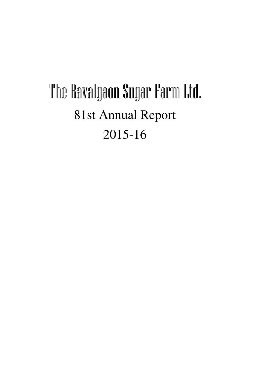# The Ravalgaon Sugar Farm Ltd. 81st Annual Report 2015-16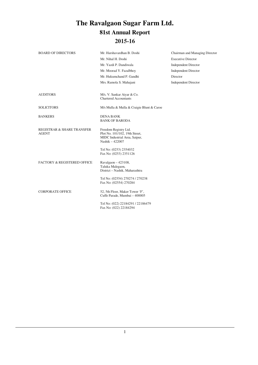## **The Ravalgaon Sugar Farm Ltd. 81st Annual Report 2015-16**

| <b>BOARD OF DIRECTORS</b>                             | Mr. Harshavardhan B. Doshi                                                                                  | Chairman and Managing Director |
|-------------------------------------------------------|-------------------------------------------------------------------------------------------------------------|--------------------------------|
|                                                       | Mr. Nihal H. Doshi                                                                                          | <b>Executive Director</b>      |
|                                                       | Mr. Yazdi P. Dandiwala                                                                                      | <b>Independent Director</b>    |
|                                                       | Mr. Moorad Y. Fazalbhoy                                                                                     | <b>Independent Director</b>    |
|                                                       | Mr. Hukumchand P. Gandhi                                                                                    | Director                       |
|                                                       | Mrs. Ramola S. Mahajani                                                                                     | <b>Independent Director</b>    |
|                                                       |                                                                                                             |                                |
| <b>AUDITORS</b>                                       | M/s. V. Sankar Aiyar & Co.<br><b>Chartered Accountants</b>                                                  |                                |
| <b>SOLICITORS</b>                                     | M/s Mulla & Mulla & Craigie Blunt & Caroe                                                                   |                                |
| <b>BANKERS</b>                                        | <b>DENA BANK</b><br><b>BANK OF BARODA</b>                                                                   |                                |
| <b>REGISTRAR &amp; SHARE TRANSFER</b><br><b>AGENT</b> | Freedom Registry Ltd.<br>Plot No. 101/102, 19th Street,<br>MIDC Industrial Area, Satpur,<br>Nashik - 422007 |                                |
|                                                       | Tel No: (0253) 2354032<br>Fax No: (0253) 2351126                                                            |                                |
| <b>FACTORY &amp; REGISTERED OFFICE</b>                | Ravalgaon - 423108,<br>Taluka Malegaon,<br>District - Nashik, Maharashtra                                   |                                |
|                                                       | Tel No: (02554) 270274 / 270238<br>Fax No: (02554) 270284                                                   |                                |
| <b>CORPORATE OFFICE</b>                               | 52, 5th Floor, Maker Tower 'F',<br>Cuffe Parade, Mumbai - 400005                                            |                                |
|                                                       | Tel No: (022) 22184291 / 22186479<br>Fax No: (022) 22184294                                                 |                                |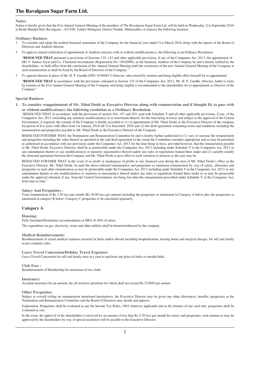#### **Notice**

Notice is hereby given that the 81st Annual General Meeting of the members of The Ravalgaon Sugar Farm Ltd. will be held on Wednesday 21st September 2016 at Krida Mandal Hall, Ravalgaon – 423108, Taluka Malegaon, District Nashik, Maharashtra, to transact the following business:

#### **Ordinary Business**

- 1 To consider and adopt the audited financial statements of the Company for the financial year ended 31st March 2016 along with the reports of the Board of Directors and Auditors thereon.
- 2 To approve annual ratification of appointment of Auditors and pass with or without modifications(s), the following as an Ordinary Resolution:

"**RESOLVED THAT** pursuant to provisions of Sections 139, 142 and other applicable provisions, if any of the Companies Act, 2013, the appointment of M/s V. Sankar Aiyar and Co., Chartered Accountants (Registration No. 109208W), as the Statutory Auditors of the Company be and is hereby ratified by the shareholders , to hold office from the conclusion of this Annual General Meeting until the conclusion of the next Annual General Meeting of the Company at such remuneration as shall be fixed by the Board of Directors of the Company."

3 To appoint director in place of Mr. H. P. Gandhi (DIN: 07090817) Director, who retired by rotation and being eligible offers himself for re-appointment.

"**RESOLVED THAT** in accordance with the provisions contained in Section 152 of the Companies Act, 2013, Mr. H. P. Gandhi, Director, liable to retire by rotation at the 81st Annual General Meeting of the Company and being eligible is recommended to the shareholders for re-appointment as Director of the Company."

#### **Special Business**

**1. To consider reappointment of Mr. Nihal Doshi as Executive Director along with remuneration and if thought fit, to pass with or without modification(s) the following resolution as a Ordinary Resolution.**

"RESOLVED THAT in accordance with the provisions of section 164, 197 and 203, read with Schedule V and all other applicable provisions, if any, of the Companies Act, 2013 (including any statutory modification(s) or re enactments thereof, for the time being in force) and subject to the approval of the Central Government, if required, the consent of the Company is hereby accorded to (1) re-appointment of Mr. Nihal Doshi as the Executive Director of the company for period of five years with effect from 1st January 2016 till 31st December 2020 and (2) the draft agreement containing terms and conditions including the remuneration and perquisites payable to Mr. Nihal Doshi as the Executive Director of the Company.

RESOLVED FURTHER THAT the Nomination and Remuneration Committee be and is hereby further authorized to (1) vary or increase the remuneration and perquisites including the value thereof as specified in the said draft agreement to the extent the Committee considers appropriate and as may be permitted or authorized in accordance with any provisions under the Companies Act, 2013 for the time being in force, provided however, that the remuneration payable to Mr. Nihal Doshi, Executive Director, shall be as permissible under the Companies Act, 2013 including under Schedule V to the Companies Act, 2013 or any amendments thereto or any modification(s) or statutory enactment(s) thereof and/or any rules or regulations framed there under and (2) suitably modify the aforesaid agreement between the Company and Mr. Nihal Doshi to give effect to such variation or increase as the case may be.

RESOLVED FURTHER THAT in the event of no profit or inadequacy of profits in any financial year during the term of Mr. Nihal Doshi's office as the Executive Director, Mr. Nihal Doshi, be paid the above referred remuneration and perquisites as minimum remuneration by way of salary, allowance and perquisites or such other remuneration as may be permissible under the Companies Act, 2013 including under Schedule V to the Companies Act, 2013 or any amendments thereto or any modification(s) or statutory re enactment(s) thereof and/or any rules or regulations framed there under or as may be permissible under the approval obtained, if any, from the Central Government, not being less than the remuneration prescribed under Schedule V of the Companies Act, from time to time."

#### **Salary And Perquisites :**

Total remuneration of Rs 2.50 lacs per month (Rs 30.00 lacs per annum) including the perquisites as mentioned in Category A below plus the perquisites as mentioned in category B below. Category C perquisites to be calculated separately.

#### **Category A**

#### **Housing:**

Fully furnished Residential accommodation or HRA @ 60% of salary

The expenditure on gas, electricity, water and other utilities shall be borne/reimbursed by the company

#### **Medical Reimbursement:**

Reimbursement of actual medical expenses incurred in India and/or abroad including hospitalization, nursing home and surgical charges, for self and family as per company rules.

**Leave Travel Concession/Holiday Travel Expenses:**

Leave Travel Concession for self and family once in a year to and from any place in India or outside India

#### **Club Fees :**

Reimbursement of Membership for maximum of two clubs

#### **Insurance:**

Accident insurance for an amount, the all inclusive premium for which shall not exceed Rs 25,000/ per annum.

#### **Other Perquisites**

Subject to overall ceiling on remuneration mentioned hereinabove, the Executive Director may be given any other allowances, benefits, perquisites as the Nomination and Remuneration Committee and the Board of Directors may decide and approve.

Explanation: Perquisites shall be evaluated as per the Income Tax Rules, 1962 wherever applicable and in the absence of any such rule, perquisites shall be evaluated at cost.

In the event, the approval of the shareholders is received for an amount of less than Rs 2.50 lacs per month for salary and perquisites, such amount as may be approved by the shareholders by way of special resolution will be payable to the Executive Director.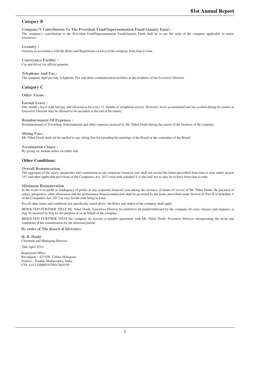#### **Category B**

**Company'S Contribution To The Provident Fund/Superannuation Fund/Annuity Fund :** The company's contribution to the Provident Fund/Superannuation Fund/Annuity Fund shall be as per the rules of the company applicable to senior executives.

#### **Gratuity :**

Gratuity in accordance with the Rules and Regulations in force in the company from time to time.

**Conveyance Facility :** Car and driver for official purpose.

#### **Telephone And Fax :**

The company shall provide Telephone, Fax and other communication facilities at the residence of the Executive Director.

#### **Category C**

**Other Terms**

#### **Earned Leave :**

One month's leave with full pay and allowances for every 11 months of completed service. However, leave accumulated and not availed during his tenure as Executive Director may be allowed to be encashed at the end of his tenure.

#### **Reimbursement Of Expenses :**

Reimbursement of Travelling, Entertainment and other expenses incurred by Mr. Nihal Doshi during the course of the business of the company.

**Sitting Fees :** Mr. Nihal Doshi shall not be entitled to any sitting fees for attending the meetings of the Board or the committee of the Board.

**Termination Clause :** By giving six months notice on either side.

#### **Other Conditions:**

#### **Overall Remuneration.**

The aggregate of the salary, perquisites and commission in any corporate financial year shall not exceed the limits prescribed from time to time under section 197 and other applicable provisions of the Companies Act, 2013 read with schedule V to the said Act as may be in force from time to time.

#### **Minimum Remuneration**

In the event of no profit or inadequacy of profits in any corporate financial year during the currency of tenure of service of Mr. Nihal Doshi, the payment of salary, perquisites, other allowances and the performance bonus/commission shall be governed by the limits prescribed under Section II, Part II of Schedule V of the Companies Act, 2013 as may for the time being in force.

For all other terms and conditions not specifically stated above, the Rules and orders of the company shall apply.

RESOLVED FURTHER THAT Mr. Nihal Doshi, Executive Director be entitled to be paid/reimbursed by the company all costs, charges and expenses as may be incurred by him for the purpose of or on behalf of the company.

RESOLVED FURTHER THAT the company do execute a suitable agreement with Mr. Nihal Doshi, Executive Director incorporating the terms and conditions of his remuneration for the aforesaid period.

**By order of The Board of Directors**

**H. B. Doshi** Chairman and Managing Director

28th April 2016

Registered Office: Ravalgaon – 423108, Taluka Malegaon, District – Nashik, Maharashtra, India CIN: L01110MH1933PLC001930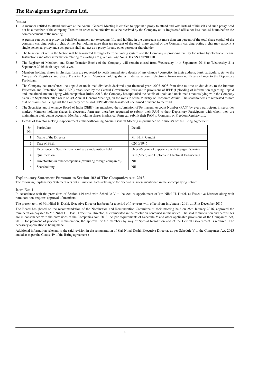**Notes:**

1 A member entitled to attend and vote at the Annual General Meeting is entitled to appoint a proxy to attend and vote instead of himself and such proxy need not be a member of the company. Proxies in order to be effective must be received by the Company at its Registered office not less than 48 hours before the commencement of the meeting.

A person can act as a proxy on behalf of members not exceeding fifty and holding in the aggregate not more than ten percent of the total share capital of the company carrying voting rights. A member holding more than ten percent of the total share capital of the Company carrying voting rights may appoint a single person as proxy and such person shall not act as a proxy for any other person or shareholder.

- 2 The business set out in the Notice will be transacted through electronic voting system and the Company is providing facility for voting by electronic means. Instructions and other information relating to e-voting are given on Page No. 4. **EVSN 160701010**
- 3 The Register of Members and Share Transfer Books of the Company will remain closed from Wednesday 14th September 2016 to Wednesday 21st September 2016 (both days inclusive).
- Members holding shares in physical form are requested to notify immediately details of any change / correction in their address, bank particulars, etc. to the Company's Registrars and Share Transfer Agents. Members holding shares in demat account (electronic form) may notify any change to the Depository **Participant**
- 5 The Company has transferred the unpaid or unclaimed dividends declared upto financial years 2007-2008 from time to time on due dates, to the Investor Education and Protection Fund (IEPF) established by the Central Government. Pursuant to provisions of IEPF (Uploading of information regarding unpaid and unclaimed amounts lying with companies) Rules, 2012, the Company has uploaded the details of upaid and unclaimed amounts lying with the Company as on 7th September 2015 (date of last Annual General Meeting), on the website of the Ministry of Corporate Affairs. The shareholders are requested to note that no claim shall lie against the Company or the said IEPF after the transfer of unclaimed dividend to the fund.
- 6 The Securities and Exchange Board of India (SEBI) has mandated the submission of Permanent Account Number (PAN) by every participant in securities market. Members holding shares in electronic form are, therefore, requested to submit their PAN to their Depository Participants with whom they are maintaining their demat accounts. Members holding shares in physical form can submit their PAN to Company or Freedom Registry Ltd.
- 7 Details of Director seeking reappointment at the forthcoming Annual General Meeting in pursuance of Clause 49 of the Listing Agreement.

| Sr.<br>No. | <b>Particulars</b>                                            | Details                                             |
|------------|---------------------------------------------------------------|-----------------------------------------------------|
|            | Name of the Director                                          | Mr. H. P. Gandhi                                    |
|            | Date of Birth                                                 | 02/10/1945                                          |
|            | Experience in Specific functional area and position held      | Over 46 years of experience with 9 Sugar factories. |
| 4          | <b>Oualification</b>                                          | B.E. (Mech) and Diploma in Electrical Engineering.  |
|            | Directorship in other companies (excluding foreign companies) | NIL                                                 |
| O          | Shareholding                                                  | NIL                                                 |

#### **Explanatory Statement Pursuant to Section 102 of The Companies Act, 2013**

The following Explanatory Statement sets out all material facts relating to the Special Business mentioned in the accompanying notice:

#### **Item No: 1**

In accordance with the provisions of Section 149 read with Schedule V to the Act, re-appointment of Mr. Nihal H. Doshi, as Executive Director along with remunaration, requires approval of members.

The present term of Mr. Nihal H. Doshi, Executive Director has been for a period of five years with effect from 1st January 2011 till 31st December 2015.

The Board has (based on the recommendation of the Nomination and Remuneration Committee at their meeting held on 28th January 2016, approved the remuneration payable to Mr. Nihal H. Doshi, Executive Director, as enumerated in the resolution contained in this notice. The said remuneration and perquisites are in consonance with the provisions of the Companies Act, 2013. As per requirements of Schedule V and other applicable provisions of the Companies Act, 2013, for payment of proposed remuneration, the approval of the members by way of Special Resolution and of the Central Government is required. The necessary application is being made.

Additional information relevant to the said revision in the remuneration of Shri Nihal Doshi, Executive Director, as per Schedule V to the Companies Act, 2013 and also as per the Clause 49 of the listing agreement :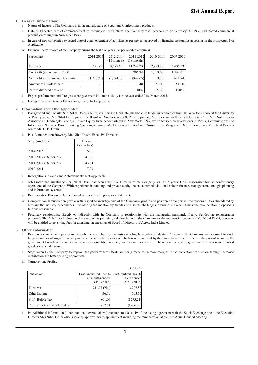#### **1. General Information:**

- i Nature of Industry: The Company is in the manufacture of Sugar and Confectionery products.
- ii Date or Expected date of commencement of commercial production: The Company was incorporated on February 08, 1933 and started commercial production of sugar in November 1933
- iii In case of new companies, expected date of commencement of activities as per project approved by financial institutions appearing in the prospectus: Not Applicable

| Particulars                       | 2014-2015                | 2012-2014<br>$(18$ months) | 2011-2012<br>$(18$ months) | 2010-2011 | 2009-2010 |
|-----------------------------------|--------------------------|----------------------------|----------------------------|-----------|-----------|
| Turnover                          | 3.703.83                 | 3,677.66                   | 11.244.23                  | 2.923.88  | 6,406.33  |
| Net Profit (as per section 198)   |                          |                            | 705.74                     | 1,493.60  | 1,469.61  |
| Net Profit as per Annual Accounts | (1,275.21)               | (1.524.18)                 | (844.65)                   | 3.33      | 614.74    |
| Amount of Dividend paid           | $\overline{\phantom{a}}$ |                            | 3.40                       | 51.00     | 51.00     |
| Rate of dividend declared         | $\overline{\phantom{a}}$ |                            | 10%                        | 150%      | 150%      |

iv Financial performance of the Company during the last five years (As per audited accounts) :

i Export performance and foreign exchange earned: No such activity for the year ended 31st March 2015.

ii Foreign Investments or collaborations, if any: Not applicable

#### **2. Information about the Appointee**

- i Background and Details: Shri Nihal Doshi, age 32, is a Science Graduate, magma cum laude, in economics from the Wharton School at the University of Pennsylvania. Mr. Nihal Doshi joined the Board of Directors in 2008. Prior to joining Ravalgaon on an Executive basis in 2011, Mr. Doshi was an Associate at Quadrangle Group, a Private Equity firm, headquartered in New York, USA, which focused on Investments in Media, Comunications and Information Services. Prior to joining Quadrangle Group, Mr. Doshi worked for Credit Suisse in the Merger and Acquisition group. Mr. Nihal Doshi is son of Mr. H. B. Doshi.
- ii Past Remuneration drawn by Mr. Nihal Doshi, Executive Director.

| Year (Audited)        | Amount           |
|-----------------------|------------------|
|                       | (Rs. in lacs)    |
| 2014-2015             | NII.             |
| 2012-2014 (18 months) | 41.31            |
| 2011-2012 (18 months) | 43.74            |
| 2010-2011             | 7.2 <sup>0</sup> |

- i Recognitions, Awards and Achievements: Not Applicable
- ii Job Profile and suitability: Shri Nihal Doshi has been Executive Director of the Company for last 5 years. He is responsible for the confectionery operations of the Company. With experience in banking and private equity, he has assumed additional role in finance, management, strategic planning and information systems.
- iii Remuneration Proposed: As mentioned earlier in the Explanatory Statement.
- iv Comparative Remuneration profile with respect to industry, size of the Company, profile and position of the person, the responsibilities shouldered by him and the industry benchmarks: Considering the inflationary trends and also the challenges in business in recent times, the remuneration proposed is fair and reasonable.
- v Pecuniary relationship, directly or indirectly, with the Company or relationship with the managerial personnel, if any: Besides the remuneration proposed, Shri Nihal Doshi does not have any other pecuniary relationship with the Company or the managerial personnel. Mr. Nihal Doshi, however, will be entitled to get sitting fees for attending the meetings of Board of Directors of Acrow India Limited.

#### **3. Other Information**

- Reasons for inadequate profits in the earlier years: The sugar industry is a highly regulated industry. Previously, the Company was required to stock large quantities of sugar (finished product), the saleable quantity of which was announced by the Govt. from time to time. In the present scenario, the government has released controls on the saleable quantity, however, raw material prices are still heavily influenced by government direction and finished good prices are depressed.
- ii Steps taken by the Company to improve the performance: Efforts are being made to increase margins in the confectionery division through increased distribution and better pricing of products.

 $R_{\rm B}$  in  $\overline{R}$ 

iii Turnover and Profits.

|                                   |                                                                  | KS in Lacs                                                |
|-----------------------------------|------------------------------------------------------------------|-----------------------------------------------------------|
| Particulars                       | <b>Last Unaudited Results</b><br>(6 months ended)<br>30/09/2015) | <b>Last Audited Results</b><br>(Year ended<br>31/03/2015) |
| Turnover                          | 941.77 (Net)                                                     | 3,703.83                                                  |
| Other Income                      | 56.19                                                            | 693.12                                                    |
| Profit Before Tax                 | 801.03                                                           | (1275.21)                                                 |
| Profit after tax and deferred tax | 757.51                                                           | (1266.36)                                                 |

i iv. Additional information (other than that covered above) pursuant to clause 49 of the listing agreement with the Stock Exchange about the Executive Director Shri Nihal Doshi who is seeking approval for re-appointment including the remuneration at the 81st Anual General Meeting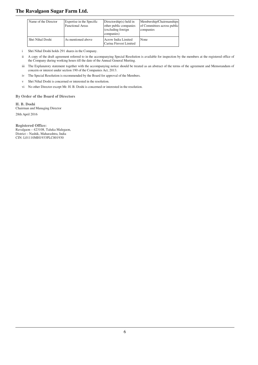| Name of the Director | Expertise in the Specific<br><b>Functional Areas</b> | Directorship( $s$ ) held in<br>other public companies<br>(excluding foreign)<br>companies) | Membership/Chairmanships<br>of Committees across public<br>companies |
|----------------------|------------------------------------------------------|--------------------------------------------------------------------------------------------|----------------------------------------------------------------------|
| Shri Nihal Doshi     | As mentioned above                                   | Acrow India Limited<br>Carina Finvest Limited                                              | None                                                                 |

i Shri Nihal Doshi holds 291 shares in the Company.

ii A copy of the draft agreement referred to in the accompanying Special Resolution is available for inspection by the members at the registered office of the Company during working hours till the date of the Annual General Meeting.

iii The Explanatory statement together with the accompanying notice should be treated as an abstract of the terms of the agreement and Memorandum of concern or interest under section 190 of the Companies Act, 2013.

iv The Special Resolution is recommended by the Board for approval of the Members.

v Shri Nihal Doshi is concerned or interested in the resolution.

vi No other Director except Mr. H. B. Doshi is concerned or interested in the resolution.

#### **By Order of the Board of Directors**

**H. B. Doshi** Chairman and Managing Director 28th April 2016

**Registered Office:** Ravalgaon – 423108, Taluka Malegaon, District – Nashik, Maharashtra, India CIN: L01110MH1933PLC001930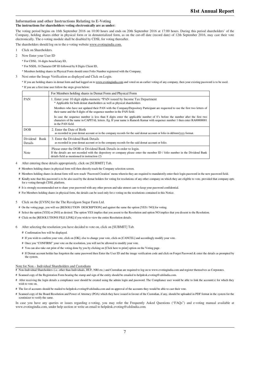#### **Information and other Instructions Relating to E-Voting**

**The instructions for shareholders voting electronically are as under:**

The voting period begins on 16th September 2016 on 10:00 hours and ends on 20th September 2016 at 17:00 hours. During this period shareholders' of the Company, holding shares either in physical form or in dematerialized form, as on the cut-off date (record date) of 12th September 2016, may cast their vote electronically. The e-voting module shall be disabled by CDSL for voting thereafter.

The shareholders should log on to the e-voting website www.evotingindia.com.

- 1 Click on Shareholders.
- Now Enter your User ID
	- \* For CDSL: 16 digits beneficiary ID,
	- \* For NSDL: 8 Character DP ID followed by 8 Digits Client ID,
	- \* Members holding shares in Physical Form should enter Folio Number registered with the Company.
- Next enter the Image Verification as displayed and Click on Login.

\* If you are holding shares in demat form and had logged on to www.evotingindia.com and voted on an earlier voting of any company, then your existing password is to be used. \* If you are a first time user follow the steps given below:

|                          | For Members holding shares in Demat Form and Physical Form                                                                                                                                                                                                                  |
|--------------------------|-----------------------------------------------------------------------------------------------------------------------------------------------------------------------------------------------------------------------------------------------------------------------------|
| <b>PAN</b>               | 1. Enter your 10 digit alpha-numeric *PAN issued by Income Tax Department<br>* Applicable for both demat shareholders as well as physical shareholders                                                                                                                      |
|                          | Members who have not updated their PAN with the Company/Depository Participant are requested to use the first two letters of<br>their name and the 8 digits of the sequence number in the PAN field.                                                                        |
|                          | In case the sequence number is less than 8 digits enter the applicable number of 0's before the number after the first two<br>characters of the name in CAPITAL letters. Eg. If your name is Ramesh Kumar with sequence number 1 then enter RA00000001<br>in the PAN field. |
| <b>DOB</b>               | 2. Enter the Date of Birth<br>as recorded in your demat account or in the company records for the said demat account or folio in dd/mm/yyyy format.                                                                                                                         |
| Dividend Bank<br>Details | 3. Enter the Dividend Bank Details<br>as recorded in your demat account or in the company records for the said demat account or folio.                                                                                                                                      |
| Note                     | Please enter the DOB or Dividend Bank Details in order to login.<br>If the details are not recorded with the depository or company please enter the member ID / folio number in the Dividend Bank<br>details field as mentioned in instruction (2)                          |

- 4 After entering these details appropriately, click on [SUBMIT] Tab.
	- # Members holding shares in physical form will then directly reach the Company selection screen.
	- # Members holding shares in demat form will now reach 'Password Creation' menu wherein they are required to mandatorily enter their login password in the new password field.
	- # Kindly note that this password is to be also used by the demat holders for voting for resolutions of any other company on which they are eligible to vote, provided that company opts for e-voting through CDSL platform.
	- # It is strongly recommended not to share your password with any other person and take utmost care to keep your password confidential.
	- # For Members holding shares in physical form, the details can be used only for e-voting on the resolutions contained in this Notice.
- 5 Click on the [EVSN] for the The Ravalgaon Sugar Farm Ltd.
	- # On the voting page, you will see [RESOLUTION DESCRIPTION] and against the same the option [YES / NO] for voting.
	- # Select the option [YES] or [NO] as desired. The option YES implies that you assent to the Resolution and option NO implies that you dissent to the Resolution.
	- # Click on the [RESOLUTIONS FILE LINK] if you wish to view the entire Resolution details.
- 6 After selecting the resolution you have decided to vote on, click on [SUBMIT] Tab.
	- # Confirmation box will be displayed.
	- # If you wish to confirm your vote, click on [OK], else to change your vote, click on [CANCEL] and accordingly modify your vote.
	- # Once you "CONFIRM" your vote on the resolution, you will not be allowed to modify your vote.
	- # You can also take out print of the voting done by you by clicking on [Click here to print] option on the Voting page.
	- # If Demat account holder has forgotten the same password then Enter the User ID and the image verification code and click on Forgot Password & enter the details as prompted by the system.

#### Note for Non – Individual Shareholders and Custodians

- Non-Individual Shareholders (i.e. other than Individuals, HUF, NRI etc.) and Custodian are required to log on to www.evotingindia.com and register themselves as Corporates.
- # Scanned copy of the Registration Form bearing the stamp and sign of the entity should be emailed to helpdesk.evoting@cdslindia.com.
- # After receiving the login details a compliance user should be created using the admin login and password. The Compliance user would be able to link the account(s) for which they wish to vote on.
- # The list of accounts should be mailed to helpdesk.evoting@cdslindia.com and on approval of the accounts they would be able to cast their vote.
- # Scanned copy of the Board Resolution and Power of Attorney (POA) which they have issued in favour of the Custodian, if any, should be uploaded in PDF format in the system for the scrutinizer to verify the same.

In case you have any queries or issues regarding e-voting, you may refer the Frequently Asked Questions ("FAQs") and e-voting manual available at www.evotingindia.com, under help section or write an email to helpdesk.evoting@cdslindia.com.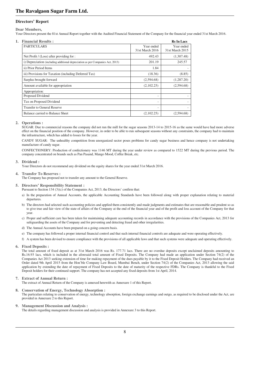#### **Directors' Report**

#### **Dear Members,**

Your Directors present the 81st Annual Report together with the Audited Financial Statement of the Company for the financial year ended 31st March 2016.

| <b>Financial Results:</b><br>1.                                                |                               | <b>Rs</b> In Lacs             |
|--------------------------------------------------------------------------------|-------------------------------|-------------------------------|
| <b>PARTICULARS</b>                                                             | Year ended<br>31st March 2016 | Year ended<br>31st March 2015 |
| Net Profit / (Loss) after providing for :                                      | 492.43                        | (1,307.48)                    |
| i) Depreciation (including additional depreciation as per Companies Act, 2013) | 201.19                        | 245.57                        |
| ii) Prior Period Items                                                         | 1.84                          |                               |
| iii) Provisions for Taxation (including Deferred Tax)                          | (18.36)                       | (8.85)                        |
| Surplus brought forward                                                        | (2,594.68)                    | (1,287.20)                    |
| Amount available for appropriation                                             | (2,102.25)                    | (2,594.68)                    |
| Appropriation:                                                                 |                               |                               |
| Proposed Dividend                                                              | ۰                             |                               |
| Tax on Proposed Dividend                                                       | ٠                             |                               |
| <b>Transfer to General Reserve</b>                                             | $\overline{\phantom{a}}$      |                               |
| Balance carried to Balance Sheet                                               | (2,102.25)                    | (2,594.68)                    |

#### **2. Operations :**

SUGAR: Due to commercial reasons the company did not run the mill for the sugar seasons 2013-14 to 2015-16 as the same would have had more adverse effect on the financial position of the company. However, in order to be able to run subsequent seasons without any constraints, the company had to maintain the infrastructure, which has added to losses for the year.

CANDY SUGAR: The unhealthy competition from unorganized sector poses problems for candy sugar business and hence company is not undertaking manufacture of candy sugar.

CONFECTIONERY: Production of confectionery was 1146 MT during the year under review as compared to 1522 MT during the previous period. The company concentrated on brands such as Pan Pasand, Mango Mood, Coffee Break, etc.

#### **3. Dividend :**

Your Directors do not recommend any dividend on the equity shares for the year ended 31st March 2016.

#### **4. Transfer To Reserves :**

The Company has proposed not to transfer any amount to the General Reserve.

#### **5. Directors' Responsibility Statement :**

Pursuant to Section 134 (3)(c) of the Companies Act, 2013, the Directors' confirm that:

- a) In the preparation of Annual Accounts, the applicable Accounting Standards have been followed along with proper explanation relating to material departures
- b) The directors had selected such accounting policies and applied them consistently and made judgments and estimates that are reasonable and prudent so as to give true and fair view of the state of affairs of the Company at the end of the financial year and of the profit and loss account of the Company for that year.
- c) Proper and sufficient care has been taken for maintaining adequate accounting records in accordance with the provisions of the Companies Act, 2013 for safeguarding the assets of the Company and for preventing and detecting fraud and other irregularities.
- d) The Annual Accounts have been prepared on a going concern basis.
- e) The company has followed a proper internal financial control and that such internal financial controls are adequate and were operating effectively.
- f) A system has been devised to ensure compliance with the provisions of all applicable laws and that such systems were adequate and operating effectively.

#### **6. Fixed Deposits :**

The total amount of fixed deposit as at 31st March 2016 was Rs. 177.71 lacs. There are no overdue deposits except unclaimed deposits amounting to Rs.16.93 lacs, which is included in the aforesaid total amount of Fixed Deposits. The Company had made an application under Section 74(2) of the Companies Act 2013 seeking extension of time for making repayment of the dues payable by it to the Fixed Deposit Holders. The Company had received an Order dated 9th April 2015 from the Hon'ble Company Law Board, Mumbai Bench, under Section 74(2) of the Companies Act, 2013 allowing the said application by extending the date of repayment of Fixed Deposits to the date of maturity of the respective FDRs. The Company is thankful to the Fixed Deposit holders for their continued support. The company has not accepted any fixed deposits from 1st April, 2014.

#### **7. Extract of Annual Return :**

The extract of Annual Return of the Company is annexed herewith as Annexure 1 of this Report.

#### **8. Conservation of Energy, Technology Absorption :**

The particulars relating to conservation of energy, technology absorption, foreign exchange earnings and outgo, as required to be disclosed under the Act, are provided in Annexure 2 to this Report.

#### **9. Management Discussion and Analysis :**

The details regarding management discussion and analysis is provided in Annexure 3 to this Report.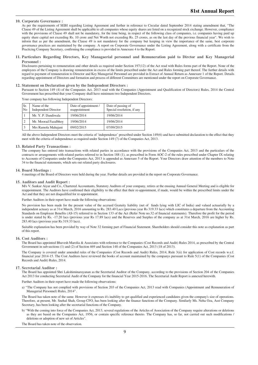#### **10. Corporate Governance :**

As per the requirements of SEBI regarding Listing Agreement and further in reference to Circular dated September 2014 stating amendment that, "The Clause 49 of the Listing Agreement shall be applicable to all companies whose equity shares are listed on a recognized stock exchange. However, compliance with the provisions of Clause 49 shall not be mandatory, for the time being, in respect of the following class of companies, i.e. companies having paid up equity share capital not exceeding Rs. 10 crore and Net Worth not exceeding Rs. 25 crores, as on the last day of the previous financial year". We wish to inform that as per the amendment, the Clause 49 is not mandatory for the company but keeping in view the importance of the same, best corporate governance practices are maintained by the company. A report on Corporate Governance under the Listing Agreement, along with a certificate from the Practicing Company Secretary, confirming the compliance is provided in Annexure 4 to the Report.

#### **11. Particulars Regarding Directors, Key Managaerial personnel and Remuneration paid to Dirctor and Key Managerial Personnel :**

Disclosures pertaining to remuneration and other details as required under Section 197(12) of the Act read with Rules forms part of the Report. None of the employees of the Company is drawing remuneration in excess of the limits prescribed under the Act and Rules forming part thereof. The further details with regard to payment of remuneration to Director and Key Managerial Personnel are provided in Extract of Annual Return as Annexure 1 of the Report. Details regarding appointment of Directors and formation and process of different Committees are mentioned under the report on Corporate Governance.

#### **12. Statement on Declaration given by the Independent Directors :**

Pursuant to Section 149 (4) of the Companies Act, 2013 read with the Companies (Appointment and Qualification of Directors) Rules, 2014 the Central Government has prescribed that your Company shall have minimum two Independent Directors.

Your company has following Independent Directors:

| Sr.<br>N <sub>o</sub> | Name of the<br><b>Independent Director</b> | Date of appointment /<br>reappointment | Date of passing of<br>Special resolution, if any |
|-----------------------|--------------------------------------------|----------------------------------------|--------------------------------------------------|
|                       | Mr. Y. P. Dandiwala                        | 19/06/2014                             | 19/06/2014                                       |
|                       | Mr. Moorad Fazalbhoy                       | 19/06/2014                             | 19/06/2014                                       |
|                       | Mrs Ramola Mahajani                        | 09/02/2015                             | 07/09/2015                                       |

All the above Independent Directors meet the criteria of 'independence' prescribed under Section 149(6) and have submitted declaration to the effect that they meet with the criteria of independence as required under Section 149 (7) of the Companies Act, 2013.

#### **13. Related Party Transactions :**

The company has entered into transactions with related parties in accordance with the provisions of the Companies Act, 2013 and the particulars of the contracts or arrangements with related parties referred to in Section 188 (1), as prescribed in Form AOC-2 of the rules prescribed under Chapter IX relating to Accounts of Companies under the Companies Act, 2013 is appended as Annexure 5 of the Report. Your Directors draw attention of the members to Note 34 to the financial statements, which sets out related party disclosures.

#### **14. Board Meetings :**

4 meetings of the Board of Directors were held during the year. Further details are provided in the report on Corporate Governance.

#### **15. Auditors and Audit Report :**

M/s V. Sankar Aiyar and Co., Chartered Accountants, Statutory Auditors of your company, retires at the ensuing Annual General Meeting and is eligible for reappointment. The Auditors have confirmed their eligibility to the effect that their re-appointment, if made, would be within the prescribed limits under the Act and that they are not disqualified for re-appointment.

Further Auditors in their report have made the following observations:

No provision has been made for the present value of the accrued Gratuity liability (net of funds lying with LIC of India) and valued actuarially by a independent actuary as at 31st March, 2016 amounting to Rs. 283.40 Lacs (previous year Rs 319.33 lacs) which constitutes a departure from the Accounting Standards on Employee Benefits (AS-15) referred to in Section 133 of the Act (Refer Note no.32 of financial statements). Therefore the profit for the period is under stated by Rs. -17.20 lacs (previous year Rs 17.89 lacs) and the Reserves and Surplus of the company as at 31st March, 2016 are higher by Rs. 283.40 lacs (previous year Rs 319.33 lacs).

Suitable explanation has been provided by way of Note 32 forming part of Financial Statement. Shareholders should consider this note as explanation as part of this report.

#### **16. Cost Auditors :**

The Board has appointed Bhavesh Marolia & Associates with reference to the Companies (Cost Records and Audit) Rules 2014, as prescribed by the Central Government in sub-sections (1) and (2) of Section 469 and Section 148 of the Companies Act, 2013 (18 of 2013).

The Company is covered under amended rules of the Companies (Cost Records and Audit) Rules, 2014, Rule 3(ii) for application of Cost records w.e.f. financial year 2014-15. The Cost Auditors have reviewed the books of account maintained by the companys pursuant to Rule 5(1) of the Companies (Cost Records and Audit) Rules, 2014.

#### **17. Secretarial Auditor :**

The Board has appointed Shri Lakshiminarayanan as the Secretarial Auditor of the Company, according to the provisions of Section 204 of the Companies Act 2013 for conducting Secretarial Audit of the Company for the financial Year 2015-2016. The Secretarial Audit Report is annexed herewith.

Further Auditors in their report have made the following observations:

a) "The Company has not complied with provisions of Section 203 of the Companies Act, 2013 read with Companies (Appointment and Remuneration of Managerial Personnel) Rules, 2014".

The Board has taken note of the same. However it expresses it's inability to get qualified and experienced candidates given the company's size of operations. Therefore, at present, Mr. Snehal Shah, Group CFO, has been looking after the finance functions of the Company. Similarly Ms. Neha Oza, Asst Company Secretary, has been looking after the secretarial functions of the Company.

b) "With the coming into force of the Companies Act, 2013, several regulations of the Articles of Association of the Company require alterations or deletions as they are based on the Companies Act, 1956, or contain specific reference thereto. The Company has, so far, not carried out such modifications / deletions or adoption of new set of Articles".

The Board has taken note of the observation.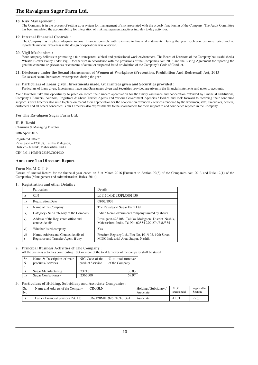#### **18. Risk Management :**

The Company is in the process of setting up a system for management of risk associated with the orderly functioning of the Company. The Audit Committee has been mandated the accountability for integration of risk management practices into day to day activities.

#### **19. Internal Financial Controls :**

The Company has in place adequate internal financial controls with reference to financial statements. During the year, such controls were tested and no reportable material weakness in the design or operations was observed.

#### **20. Vigil Mechanism :**

Your company believes in promoting a fair, transparent, ethical and professional work environment. The Board of Directors of the Company has established a Whistle Blower Policy under Vigil Mechanism in accordance with the provisions of the Companies Act, 2013 and the Listing Agreement for reporting the genuine concerns or grievances or concerns of actual or suspected fraud or violation of the Company's Code of Conduct.

#### **21. Disclosure under the Sexual Harassment of Women at Workplace (Prevention, Prohibition And Redressal) Act, 2013** No case of sexual harassment was reported during the year.

#### **22. Particulars of Loans given, Investments made, Guarantees given and Securities provided :**

Particulars of loans given, Investments made and Guarantees given and Securities provided are given in the financial statements and notes to accounts.

Your Directors take this opportunity to place on record their sincere appreciation for the timely assistance and cooperation extended by Financial Institutions, Company's Bankers, Auditors, Registrars & Share Trasfer Agents and various Government Agencies / Bodies and look forward to receiving their continued support. Your Directors also wish to place on record their appreciation for the cooperation extended / services rendered by the workmen, staff, executives, dealers, customers and all others concerned. Your Directors also express thanks to the shareholders for their support to and confidence reposed in the Company.

**For The Ravalgaon Sugar Farm Ltd.**

**H. B. Doshi** Chairman & Managing Director 28th April 2016

Registered Office: Ravalgaon – 423108, Taluka Malegaon, District – Nashik, Maharashtra, India

CIN: L01110MH1933PLC001930

#### **Annexure 1 to Directors Report**

#### **Form No. M G T-9**

Extract of Annual Return for the financial year ended on 31st March 2016 [Pursuant to Section 92(3) of the Companies Act, 2013 and Rule 12(1) of the Companies (Management and Administration) Rules, 2014]

#### **1. Registration and other Details :**

|              | Particulars                                                                  | Details                                                                                                  |
|--------------|------------------------------------------------------------------------------|----------------------------------------------------------------------------------------------------------|
| $\mathbf{i}$ | <b>CIN</b>                                                                   | L01110MH1933PLC001930                                                                                    |
| ii)          | <b>Registration Date</b>                                                     | 08/02/1933                                                                                               |
| iii)         | Name of the Company                                                          | The Ravalgaon Sugar Farm Ltd.                                                                            |
| iv)          | Category / Sub-Category of the Company                                       | Indian Non-Government Company limited by shares                                                          |
| V)           | Address of the Registered office and<br>contact details                      | Ravalgaon-423108, Taluka Malegaon, District Nashik,<br>Maharashtra, India. Tel No: 02554 270-274/238/335 |
| $\rm{vi})$   | Whether listed company                                                       | Yes                                                                                                      |
| vii          | Name, Address and Contact details of<br>Registrar and Transfer Agent, if any | Freedom Registry Ltd., Plot No. 101/102, 19th Street,<br>MIDC Industrial Area, Satpur, Nashik            |

#### **2. Principal Business Activities of The Company :**

All the business activities contributing 10% or more of the total turnover of the company shall be stated

| Sr.<br>N<br>$\circ$ | Name & Description of main<br>products / services | NIC Code of the<br>product / service | % to total turnover<br>of the Company |
|---------------------|---------------------------------------------------|--------------------------------------|---------------------------------------|
|                     | Sugar Manufacturing                               | 2321011                              | 30.03                                 |
| $\mathbf{ii}$       | <b>Sugar Confectionery</b>                        | 2367000                              | 69.97                                 |

#### **3. Particulars of Holding, Subsidiary and Associate Companies :**

| Sr.<br><b>No</b> | Name and Address of the Company     | CIN/GLN               | Holding / Subsidiary<br>Associate | $%$ of<br>shares held | Applicable<br>Section |
|------------------|-------------------------------------|-----------------------|-----------------------------------|-----------------------|-----------------------|
|                  | Lanica Financial Services Pvt. Ltd. | U67120MH1996PTC101374 | Associate                         | $41.7^{\circ}$        | 2(6)                  |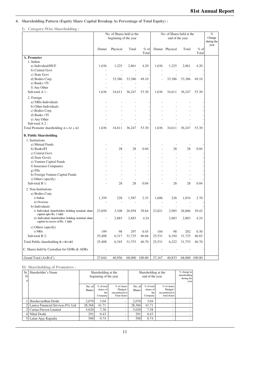#### **4. Shareholding Pattern (Equity Share Capital Breakup As Percentage of Total Equity) :**

#### **I) Category-Wise Shareholding :**

|                                                                              |                          | No. of Shares held at the<br>beginning of the year |                |                 | No. of Shares held at the<br>end of the year |                          |               | $\%$<br>Change<br>during the<br>year |  |
|------------------------------------------------------------------------------|--------------------------|----------------------------------------------------|----------------|-----------------|----------------------------------------------|--------------------------|---------------|--------------------------------------|--|
|                                                                              | Demat                    | Physical                                           | Total          | $%$ of<br>Total |                                              | Demat Physical           | Total         | $%$ of<br>Total                      |  |
| A. Promoter                                                                  |                          |                                                    |                |                 |                                              |                          |               |                                      |  |
| 1. Indian                                                                    |                          |                                                    |                |                 |                                              |                          |               |                                      |  |
| a) Individual/HUF                                                            | 1,636                    | 1,225                                              | 2,861          | 4.20            | 1,636                                        | 1,225                    | 2,861         | 4.20                                 |  |
| b) Central Govt                                                              |                          |                                                    |                |                 |                                              |                          |               |                                      |  |
| c) State Govt                                                                |                          |                                                    |                |                 |                                              |                          |               |                                      |  |
| d) Bodies Corp.                                                              | L,                       | 33,386                                             | 33,386         | 49.10           | Ĩ.                                           | 33,386                   | 33,386        | 49.10                                |  |
| e) Banks / FI                                                                |                          |                                                    |                |                 |                                              |                          |               |                                      |  |
| f) Any Other                                                                 |                          |                                                    |                |                 |                                              |                          |               |                                      |  |
| Sub-total A 1:                                                               | 1,636                    | 34,611                                             | 36,247         | 53.30           | 1,636                                        | 34,611                   | 36,247        | 53.30                                |  |
| 2. Foreign                                                                   |                          |                                                    |                |                 |                                              |                          |               |                                      |  |
| a) NRIs-Individuals                                                          |                          |                                                    |                |                 |                                              |                          |               |                                      |  |
| b) Other-Individuals                                                         |                          |                                                    |                |                 |                                              |                          |               |                                      |  |
| c) Bodies Corp.                                                              |                          |                                                    |                |                 |                                              |                          |               |                                      |  |
| d) Banks / FI                                                                |                          |                                                    |                |                 |                                              |                          |               |                                      |  |
| e) Any Other                                                                 |                          |                                                    |                |                 |                                              |                          |               |                                      |  |
| Sub-total A 2:                                                               |                          |                                                    |                |                 |                                              |                          |               |                                      |  |
| Total Promoter shareholding $A = A1 + A2$                                    | 1,636                    | 34,611                                             | 36,247         | 53.30           | 1,636                                        | 34,611                   | 36,247        | 53.30                                |  |
|                                                                              |                          |                                                    |                |                 |                                              |                          |               |                                      |  |
| <b>B. Public Shareholding</b>                                                |                          |                                                    |                |                 |                                              |                          |               |                                      |  |
| 1. Institutions                                                              |                          |                                                    |                |                 |                                              |                          |               |                                      |  |
| a) Mutual Funds                                                              |                          |                                                    |                |                 |                                              |                          |               |                                      |  |
| b) Banks/FI                                                                  |                          | 28                                                 | 28             | 0.04            |                                              | 28                       | 28            | 0.04                                 |  |
| c) Central Govt.                                                             |                          | L,                                                 | J.             |                 |                                              |                          |               |                                      |  |
| d) State Govt/s                                                              |                          |                                                    |                |                 |                                              |                          |               |                                      |  |
| e) Venture Capital Funds                                                     |                          |                                                    |                | L,              |                                              |                          |               |                                      |  |
| f) Insurance Companies                                                       |                          |                                                    |                |                 |                                              |                          |               |                                      |  |
| g) FIIs                                                                      |                          |                                                    |                | ٠               |                                              |                          |               |                                      |  |
| h) Foreign Venture Capital Funds                                             |                          |                                                    |                | ÷,              |                                              |                          |               |                                      |  |
| i) Others (specify)                                                          |                          |                                                    |                |                 |                                              |                          | ÷,            |                                      |  |
| Sub-total B 1:                                                               |                          | 28                                                 | 28             | 0.04            |                                              | 28                       | 28            | 0.04                                 |  |
|                                                                              |                          |                                                    |                |                 |                                              |                          |               |                                      |  |
| 2. Non-Institutions                                                          |                          |                                                    |                |                 |                                              |                          |               |                                      |  |
| a) Bodies Corp.                                                              |                          |                                                    |                |                 |                                              |                          |               |                                      |  |
| i) Indian                                                                    | 1,359                    | 228                                                | 1,587          | 2.33            | 1,606                                        | 228                      | 1,834         | 2.70                                 |  |
| ii) Overseas                                                                 |                          |                                                    |                |                 |                                              |                          |               |                                      |  |
| b) Individuals                                                               |                          |                                                    |                |                 |                                              | $\overline{\phantom{a}}$ |               |                                      |  |
| i) Individual shareholders holding nominal share                             | 23,850                   | 3,108                                              | 26,958         | 39.64           | 23,821                                       | 2,985                    | 26,806        | 39.42                                |  |
| capital upto Rs. 1 lakh<br>ii) Individual shareholders holding nominal share |                          | 2,883                                              | 2,883          | 4.24            |                                              | 2,883                    | 2,883         | 4.24                                 |  |
| capital in excess of Rs. 1 lakh                                              |                          |                                                    |                |                 |                                              |                          |               |                                      |  |
|                                                                              |                          |                                                    |                |                 |                                              |                          |               |                                      |  |
| c) Others (specify)<br>i) NRIs                                               | 199                      |                                                    |                | 0.45            |                                              |                          | 202           | 0.30                                 |  |
|                                                                              |                          | 98                                                 | 297            |                 | 104                                          | 98                       |               |                                      |  |
| Sub-total B 2:                                                               | 25,408                   | 6,317                                              | 31,725         | 46.66           | 25,531                                       | 6,194                    | 31,725        | 46.65                                |  |
| Total Public shareholding $B = B1 + B2$                                      | 25,408                   | 6,345                                              | 31,753         | 46.70           | 25,531                                       | 6,222                    | 31,753        | 46.70                                |  |
| C. Shares held by Custodian for GDRs & ADRs                                  | $\overline{\phantom{a}}$ | L,                                                 | $\overline{a}$ |                 | $\overline{a}$                               |                          |               |                                      |  |
|                                                                              |                          |                                                    |                |                 |                                              |                          |               |                                      |  |
| Grand Total (A+B+C)                                                          | 27,044                   | 40,956                                             | 68,000         | 100.00          | 27,167                                       | 40,833                   | 68,000 100.00 |                                      |  |

#### **II) Shareholding of Promoters :**

| Sr. Shareholder's Name<br>N<br>$\Omega$ | Shareholding at the<br>beginning of the year |                                                        |                                                           | Shareholding at the     | % change in<br>shareholding<br>during the<br>year |                                                           |  |
|-----------------------------------------|----------------------------------------------|--------------------------------------------------------|-----------------------------------------------------------|-------------------------|---------------------------------------------------|-----------------------------------------------------------|--|
|                                         | No. of<br><b>Shares</b>                      | % of total<br>shares of<br>the<br>Company <sup>1</sup> | % of shares<br>Pledged /<br>encumbered to<br>Total shares | No. of<br><b>Shares</b> | % of total<br>shares of<br>the<br>Company         | % of shares<br>Pledged /<br>encumbered to<br>total shares |  |
| Harshavardhan Doshi                     | 2.070                                        | 3.04                                                   |                                                           | 2.070                   | 3.04                                              | ۰                                                         |  |
| Lanica Financial Services Pvt. Ltd      | 28,366                                       | 41.71                                                  |                                                           | 28.366                  | 41.71                                             | ۰                                                         |  |
| Carina Finvest Limited                  | 5.020                                        | 7.38                                                   |                                                           | 5.020                   | 7.38                                              | ۰                                                         |  |
| Nihal Doshi                             | 291                                          | 0.43                                                   |                                                           | 291                     | 0.43                                              | ۰                                                         |  |
| 5 Lalan Ajay Kapadia                    | 500                                          | 0.74                                                   |                                                           | 500                     | 0.74                                              | ۰                                                         |  |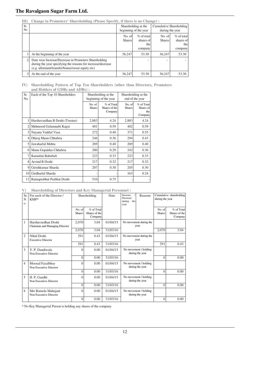| III                   | Change in Promoters' Shareholding (Please Specify, if there is no Change) :                                                                                               |                         |                                              |                         |                                             |  |  |  |
|-----------------------|---------------------------------------------------------------------------------------------------------------------------------------------------------------------------|-------------------------|----------------------------------------------|-------------------------|---------------------------------------------|--|--|--|
| Sr.<br>N <sub>0</sub> |                                                                                                                                                                           |                         | Shareholding at the<br>beginning of the year |                         | Cumulative Shareholding<br>during the year  |  |  |  |
|                       |                                                                                                                                                                           | No. of<br><b>Shares</b> | $\%$ of total<br>shares of<br>the<br>company | No. of<br><b>Shares</b> | $%$ of total<br>shares of<br>the<br>company |  |  |  |
|                       | At the beginning of the year                                                                                                                                              | 36,247                  | 53.30                                        | 36,247                  | 53.30                                       |  |  |  |
|                       | Date wise Increase/Decrease in Promoters Shareholding<br>during the year specifying the reasons for increase/decrease<br>(e.g. allotment/transfer/bonus/sweat equity etc) |                         |                                              |                         |                                             |  |  |  |
| $\overline{3}$        | At the end of the year                                                                                                                                                    | 36,247                  | 53.30                                        | 36,247                  | 53.30                                       |  |  |  |

#### **IV) Shareholding Pattern of Top Ten Shareholders (other than Directors, Promoters and Holders of GDRs and ADRs) :**

| Sr.<br>No      | Each of the Top 10 Shareholders |                         | Shareholding at the<br>beginning of the year | Shareholding at the<br>end of the year |                                           |  |
|----------------|---------------------------------|-------------------------|----------------------------------------------|----------------------------------------|-------------------------------------------|--|
|                |                                 | No. of<br><b>Shares</b> | % of Total<br>Shares of the<br>Company       | No. of<br><b>Shares</b>                | % of Total<br>Shares of<br>the<br>Company |  |
|                | Harshavardhan B Doshi (Trustee) | 2,883                   | 4.24                                         | 2,883                                  | 4.24                                      |  |
| $\overline{c}$ | Mehmood Gulamnabi Kagzi         | 401                     | 0.59                                         | 402                                    | 0.59                                      |  |
| 3              | Nayana Vadilal Vasa             | 272                     | 0.40                                         | 371                                    | 0.55                                      |  |
| 4              | Dhiraj Manu Chhabria            | 246                     | 0.36                                         | 294                                    | 0.43                                      |  |
| 5              | Jawaharlal Mehta                | 269                     | 0.40                                         | 269                                    | 0.40                                      |  |
| 6              | Manu Gopaldas Chhabria          | 200                     | 0.29                                         | 242                                    | 0.36                                      |  |
|                | Kamalini Bahubali               | 223                     | 0.33                                         | 223                                    | 0.33                                      |  |
| 8              | <b>Arvind R Doshi</b>           | 217                     | 0.32                                         | 217                                    | 0.32                                      |  |
| 9              | Girishkumar Sharda              | 207                     | 0.30                                         | 205                                    | 0.30                                      |  |
| 10             | Girdharlal Sharda               |                         |                                              | 163                                    | 0.24                                      |  |
| 11             | Ratnaprabhat Prabhat Doshi      | 510                     | 0.75                                         |                                        |                                           |  |

#### **V) Shareholding of Directors and Key Managerial Personnel :**

| Sr.<br>N<br>$\Omega$ | For each of the Director /<br>KMP*                    |                         | Shareholding                           | Date     | Increase<br>Decrease<br>during the<br>year | Reasons | during the year         | Cumulative shareholding                  |
|----------------------|-------------------------------------------------------|-------------------------|----------------------------------------|----------|--------------------------------------------|---------|-------------------------|------------------------------------------|
|                      |                                                       | No. of<br><b>Shares</b> | % of Total<br>Shares of the<br>Company |          |                                            |         | No. of<br><b>Shares</b> | $%$ of Total<br>Shares of the<br>Company |
| $\mathbf{1}$         | Harshavardhan Doshi<br>Chairman and Managing Director | 2,070                   | 3.04                                   | 01/04/15 | No movement during the<br>year             |         |                         |                                          |
|                      |                                                       | 2,070                   | 3.04                                   | 31/03/16 |                                            |         | 2,070                   | 3.04                                     |
| $\mathfrak{D}$       | Nihal Doshi<br><b>Executive Director</b>              | 291                     | 0.43                                   | 01/04/15 | No movement during the<br>year             |         |                         |                                          |
|                      |                                                       | 291                     | 0.43                                   | 31/03/16 |                                            |         | 291                     | 0.43                                     |
| 3                    | Y. P. Dandiwala<br>Non Executive Director             | 0                       | 0.00                                   | 01/04/15 | No movement / holding<br>during the year   |         |                         |                                          |
|                      |                                                       | $\theta$                | 0.00                                   | 31/03/16 |                                            |         | $\Omega$                | 0.00                                     |
| $\overline{4}$       | Moorad Fazalbhoy<br>Non Executive Director            | $\Omega$                | 0.00                                   | 01/04/15 | No movement / holding<br>during the year   |         |                         |                                          |
|                      |                                                       | $\Omega$                | 0.00                                   | 31/03/16 |                                            |         | $\Omega$                | 0.00                                     |
| 5                    | H. P. Gandhi<br>Non Executive Director                | 0                       | 0.00                                   | 01/04/15 | No movement / holding<br>during the year   |         |                         |                                          |
|                      |                                                       | $\Omega$                | 0.00                                   | 31/03/16 |                                            |         | $\Omega$                | 0.00                                     |
| 6                    | Mrs Ramola Mahajani<br>Non Executive Director         | $\theta$                | 0.00                                   | 01/04/15 | No movement / holding<br>during the year   |         |                         |                                          |
|                      |                                                       | $\Omega$                | 0.00                                   | 31/03/16 |                                            |         | $\Omega$                | 0.00                                     |

\* No Key Managerial Person is holding any shares of the company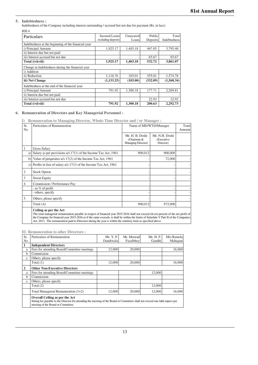#### **5. Indebtedness :**

Indebtedness of the Company including interest outstanding / accrued but not due for payment (Rs. in lacs)

| 808.4                                               |                                            |                    |                    |                       |
|-----------------------------------------------------|--------------------------------------------|--------------------|--------------------|-----------------------|
| Particulars                                         | <b>Secured Loans</b><br>excluding deposits | Unsecured<br>Loans | Public<br>Deposits | Total<br>Indebtedness |
| Indebtedness at the beginning of the financial year |                                            |                    |                    |                       |
| i) Principal Amount                                 | 1.925.17                                   | 1,403.18           | 467.05             | 3,795.40              |
| ii) Interest due but not paid                       |                                            |                    |                    |                       |
| iii) Interest accrued but not due                   |                                            |                    | 65.67              | 65.67                 |
| Total (i+ii+iii)                                    | 1,925.17                                   | 1,403.18           | 532.72             | 3,861.07              |
| Change in Indebtedness during the financial year    |                                            |                    |                    |                       |
| i) Addition                                         |                                            |                    |                    |                       |
| ii) Reduction                                       | 1,116.76                                   | 103.01             | 355.01             | 1,574.78              |
| iii) Net Change                                     | (1, 133.25)                                | (103.00)           | (332.09)           | (1,568.34)            |
| Indebtedness at the end of the financial year       |                                            |                    |                    |                       |
| i) Principal Amount                                 | 791.92                                     | 1.300.18           | 177.71             | 2,269.81              |
| ii) Interest due but not paid                       |                                            |                    |                    |                       |
| iii) Interest accrued but not due                   |                                            |                    | 22.92              | 22.92                 |
| Total (i+ii+iii)                                    | 791.92                                     | 1,300.18           | 200.63             | 2,292.73              |

#### **6. Remuneration of Directors and Key Managerial Personnel :**

**I) Remuneration to Managing Director, Whole-Time Director and / or Manager :**

| Sr.<br>N <sub>o</sub> | Particulars of Remuneration                                                                                                                                                                                                                                                                                                                                                                                                 | Name of MD/WTD/Manager                               | Total<br>Amount                           |  |
|-----------------------|-----------------------------------------------------------------------------------------------------------------------------------------------------------------------------------------------------------------------------------------------------------------------------------------------------------------------------------------------------------------------------------------------------------------------------|------------------------------------------------------|-------------------------------------------|--|
|                       |                                                                                                                                                                                                                                                                                                                                                                                                                             | Mr. H. B. Doshi<br>(Chairman &<br>Managing Director) | Mr. N.H. Doshi<br>(Executive<br>Director) |  |
| 1                     | <b>Gross Salary</b>                                                                                                                                                                                                                                                                                                                                                                                                         |                                                      |                                           |  |
| a)                    | Salary as per provisions $u/s$ 17(1) of the Income Tax Act, 1961                                                                                                                                                                                                                                                                                                                                                            | 900,012                                              | 900,000                                   |  |
|                       | b) Value of perquisites $u/s$ 17(2) of the Income Tax Act, 1961                                                                                                                                                                                                                                                                                                                                                             |                                                      | 72,000                                    |  |
|                       | c) Profits in lieu of salary $u/s$ 17(3) of the Income Tax Act, 1961                                                                                                                                                                                                                                                                                                                                                        |                                                      |                                           |  |
| 2                     | <b>Stock Option</b>                                                                                                                                                                                                                                                                                                                                                                                                         |                                                      |                                           |  |
| 3                     | <b>Sweat Equity</b>                                                                                                                                                                                                                                                                                                                                                                                                         |                                                      |                                           |  |
| 4                     | Commission / Performance Pay                                                                                                                                                                                                                                                                                                                                                                                                |                                                      |                                           |  |
|                       | - as % of profit                                                                                                                                                                                                                                                                                                                                                                                                            |                                                      |                                           |  |
|                       | - others, specify                                                                                                                                                                                                                                                                                                                                                                                                           |                                                      |                                           |  |
| 5                     | Others, please specify                                                                                                                                                                                                                                                                                                                                                                                                      |                                                      |                                           |  |
|                       | Total (A)                                                                                                                                                                                                                                                                                                                                                                                                                   | 900,012                                              | 972,000                                   |  |
|                       | Ceiling as per the Act<br>The total managerial remuneration payable in respect of financial year 2015-2016 shall not exceed eleven percent of the net profit of<br>the Company for financial year 2015-2016 or if the same exceeds, it shall be within the limits of Schedule V Part II of the Companies<br>Act, 2013. The remuneration paid to Directors during the year is within the statutory limit as specified above. |                                                      |                                           |  |

**II) Remuneration to other Directors :**

| Sr.            | Particulars of Remuneration                                                                                                                                                                                 | Mr. Y. P. | Mr. Moorad | Mr. H. P. | Mrs Ramola |
|----------------|-------------------------------------------------------------------------------------------------------------------------------------------------------------------------------------------------------------|-----------|------------|-----------|------------|
| N <sub>o</sub> |                                                                                                                                                                                                             | Dandiwala | Fazalbhov  | Gandhi    | Mahajani   |
| 1              | <b>Independent Directors</b>                                                                                                                                                                                |           |            |           |            |
| a              | Fees for attending Board/Committee meetings                                                                                                                                                                 | 12,000    | 20,000     |           | 16,000     |
| b              | Commission                                                                                                                                                                                                  |           |            |           |            |
| $\mathbf c$    | Others, please specify                                                                                                                                                                                      |           |            |           |            |
|                | Total (1)                                                                                                                                                                                                   | 12,000    | 20,000     |           | 16,000     |
| 2              | <b>Other Non-Executive Directors</b>                                                                                                                                                                        |           |            |           |            |
| a              | Fees for attending Board/Committee meetings                                                                                                                                                                 |           |            | 12,000    |            |
| b              | Commission                                                                                                                                                                                                  |           |            |           |            |
| $\mathbf c$    | Others, please specify                                                                                                                                                                                      |           |            |           |            |
|                | Total $(2)$                                                                                                                                                                                                 |           |            | 12,000    |            |
|                | Total Managerial Remuneration $(1+2)$                                                                                                                                                                       | 12,000    | 20,000     | 12,000    | 16.000     |
|                | <b>Overall Ceiling as per the Act</b><br>Sitting fee payable to the Director for attending the meeting of the Board or Committee shall not exceed one lakh rupees per<br>meeting of the Board or Committee. |           |            |           |            |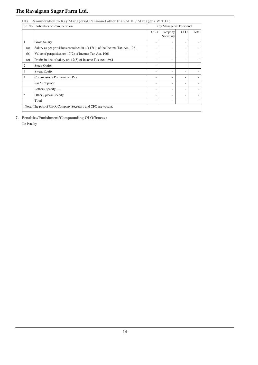|     | Sr. No Particulars of Remuneration                                            |            | Key Managerial Personnel |            |       |
|-----|-------------------------------------------------------------------------------|------------|--------------------------|------------|-------|
|     |                                                                               | <b>CEO</b> | Company<br>Secretary     | <b>CFO</b> | Total |
|     | <b>Gross Salary</b>                                                           |            |                          | ٠          |       |
| (a) | Salary as per provisions contained in $u/s$ 17(1) of the Income Tax Act, 1961 |            | ۰                        | ۰          | ۰     |
| (b) | Value of perquisites $u/s$ 17(2) of Income Tax Act, 1961                      |            | ٠                        | ٠          | ٠     |
| (c) | Profits in lieu of salary u/s 17(3) of Income Tax Act, 1961                   | ۰          | ٠                        | ٠          | ٠     |
| 2   | <b>Stock Option</b>                                                           |            | ٠                        | ٠          |       |
| 3   | <b>Sweat Equity</b>                                                           |            | ٠                        | ٠          | ٠     |
| 4   | Commission / Performance Pay                                                  |            | ٠                        | ٠          |       |
|     | - as % of profit                                                              |            |                          | ٠          |       |
|     | - others, specify                                                             | ۰          | ۰                        | ٠          | ۰     |
| 5   | Others, please specify                                                        |            | ٠                        | ٠          | ٠     |
|     | Total                                                                         | ۰          | ۰                        | ٠          | ٠     |

**7. Penalties/Punishment/Compounding Of Offences :** 

No Penalty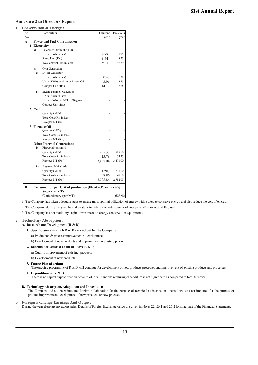## **Annexure 2 to Directors Report**

**1. Conservation of Energy :**

| Sr.          |               | Particulars                                                  | Current  | Previous |
|--------------|---------------|--------------------------------------------------------------|----------|----------|
| No           |               |                                                              | year     | year     |
| $\mathbf{A}$ |               | <b>Power and Fuel Consumption</b>                            |          |          |
|              | 1 Electricity |                                                              |          |          |
|              | a)            | Purchased (from M.S.E.B.)                                    |          |          |
|              |               | Units (KWh in lacs)                                          | 8.78     | 11.75    |
|              |               | Rate / Unit (Rs.)                                            | 8.44     | 8.25     |
|              |               | Total amount (Rs. in lacs)                                   | 74.14    | 96.89    |
|              | b)            | Own Generation                                               |          |          |
|              | i)            | Diesel Generator                                             |          |          |
|              |               | Units (KWh in lacs)                                          | 0.45     | 0.38     |
|              |               | Units (KWh) per litre of Diesel Oil                          | 3.91     | 3.65     |
|              |               | Cost per Unit (Rs.)                                          | 14.17    | 17.68    |
|              | ii)           | Steam Turbine / Generator                                    |          |          |
|              |               | Units (KWh in lacs)                                          |          |          |
|              |               | Units (KWh) per M.T. of Bagasse                              |          |          |
|              |               | Cost per Unit (Rs.)                                          |          |          |
|              | 2 Coal        |                                                              |          |          |
|              |               | Quantity (MTs)                                               |          |          |
|              |               | Total Cost (Rs. in lacs)                                     |          |          |
|              |               | Rate per MT (Rs.)                                            |          |          |
|              |               | 3 Furnace Oil                                                |          |          |
|              |               | Quantity (MTs)                                               |          |          |
|              |               | Total Cost (Rs. in lacs)                                     |          |          |
|              |               | Rate per MT (Rs.)                                            |          |          |
|              |               | <b>4 Other Internal Generation:</b>                          |          |          |
|              | $\mathbf{i}$  | Firewood consumed                                            |          |          |
|              |               | Quantity (MTs)                                               | 455.33   | 989.50   |
|              |               | Total Cost (Rs. in lacs)                                     | 15.78    | 34.35    |
|              |               | Rate per MT (Rs.)                                            | 3,465.04 | 3,471.00 |
|              | ii)           | Bagasse / Maka buds                                          |          |          |
|              |               | Quantity (MTs)                                               | 1,283    | 1,711.00 |
|              |               | Total Cost (Rs. in lacs)                                     | 38.86    | 47.60    |
|              |               | Rate per MT (Rs.)                                            | 3,028.86 | 2,782.03 |
| B            |               | Consumption per Unit of production (Electricty/Power in KWh) |          |          |
|              |               | Sugar (per MT)                                               |          |          |
|              |               | Confectionery (per MT)                                       |          | 625.92   |

1. The Company has taken adequate steps to ensure most optimal utilization of energy with a view to conserve energy and also reduce the cost of energy.

2. The Company, during the year, has taken steps to utilize alternate sources of energy viz-Fire wood and Bagasse.

3. The Company has not made any capital investment on energy conservation equipments.

#### **2. Technology Absorption :**

**A. Research and Development (R & D)**

#### **1. Specific areas in which R & D carried out by the Company**

- a) Production & process improvement / developments
- b) Development of new products and improvement in existing products.

#### **2. Benefits derived as a result of above R & D**

- a) Quality improvement of existing products
- b) Development of new products

#### **3. Future Plan of action:**

The ongoing programme of R & D will continue for development of new products processes and improvement of existing products and processes.

#### **4. Expenditure on R & D**

There is no capital expenditure on account of R & D and the recurring expenditure is not significant as compared to total turnover.

#### **B. Technology Absorption, Adaptation and Innovation:**

The Company did not enter into any foreign collaboration for the purpose of technical assistance and technology was not imported for the purpose of product improvement, development of new products or new process.

#### **3. Foreign Exchange Earnings And Outgo :**

During the year there are no export sales. Details of Foreign Exchange outgo are given in Notes 22, 26.1 and 26.2 forming part of the Financial Statements.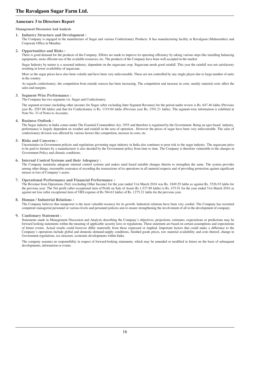#### **Annexure 3 to Directors Report**

**Management Discussion And Analysis**

#### **1. Industry Structure and Development :**

The Company is engaged in the manufacture of Sugar and various Confectionery Products. It has manufacturing facility at Ravalgaon (Maharashtra) and Corporate Office in Mumbai.

#### **2. Opportunities and Risks :**

There is good demand for the products of the Company. Efforts are made to improve its operating efficiency by taking various steps like installing balancing equipments, more efficient use of the available resources, etc. The products of the Company have been well accepted in the market.

Sugar Industry by nature is a seasonal industry, dependent on the sugarcane crop. Sugarcane needs good rainfall. This year the rainfall was not satisfactory resulting in lower availability of sugarcane.

More so the sugar prices have also been volatile and have been very unfavourable. These are not controlled by any single player due to large number of units in the country.

As regards confectionery, the competition from outside sources has been increasing. The competition and increase in costs, mainly material costs affect the sales and margins.

#### **3. Segment-Wise Performance :**

The Company has two segments viz. Sugar and Confectionery.

The segment-revenue (including other income) for Sugar (after excluding Inter Segment Revenue) for the period under review is Rs. 647.46 lakhs (Previous year Rs. 2587.88 lakhs) and that for Confectionery is Rs. 1319.04 lakhs (Previous year Rs. 1591.21 lakhs). The segment-wise information is exhibited at Note No. 33 of Notes to Accounts.

#### **4. Business Outlook :**

The Sugar industry in India comes under The Essential Commodities Act, 1955 and therefore is regulated by the Government. Being an agro based industry, performance is largely dependent on weather and rainfall in the area of operation . However the prices of sugar have been very unfavourable. The sales of confectionery division was affected by various factors like competition, increase in costs, etc.

#### **5. Risks and Concerns :**

Uncertainties in Government policies and regulations governing sugar industry in India also continues to pose risk to the sugar industry. The sugarcane price to be paid to farmers by a manufacturer is also decided by the Government policy from time to time. The Company is therefore vulnerable to the changes in Government Policy and climatic conditions.

#### **6. Internal Control Systems and their Adequacy :**

The Company maintains adequate internal control systems and makes need based suitable changes therein to strengthen the same. The system provides among other things, reasonable assurance of recording the transactions of its operations in all material respects and of providing protection against significant misuse or loss of Company's assets.

#### **7. Operational Performance and Financial Performance :**

The Revenue from Operations (Net) (excluding Other Income) for the year ended 31st March 2016 was Rs. 1849.29 lakhs as against Rs. 3526.93 lakhs for the previous year. The Net profit (after exceptional item of Profit on Sale of Assets Rs 1,537.89 lakhs) is Rs. 475.91 for the year ended 31st March 2016 as against net loss (after exceptional item of VRS expense of Rs 584.63 lakhs) of Rs. 1275.21 lakhs for the previous year.

#### **8. Human / Industrial Relations :**

The Company believes that manpower is the most valuable resource for its growth. Industrial relations have been very cordial. The Company has recruited competent managerial personnel at various levels and personnel policies aim to ensure strengthening the involvement of all in the development of company.

#### **9. Cautionary Statement :**

Statements made in Management Discussion and Analysis describing the Company's objectives, projections, estimates, expectations or predictions may be forward looking statements within the meaning of applicable security laws or regulations. These statement are based on certain assumptions and expectations of future events. Actual results could however differ materially from those expressed or implied. Important factors that could make a difference to the Company's operations include global and domestic demand-supply conditions, finished goods prices, raw material availability and costs thereof, change in Government regulations, tax structure, economic developments within India.

The company assumes no responsibility in respect of forward-looking statements, which may be amended or modified in future on the basis of subsequent developments, information or events.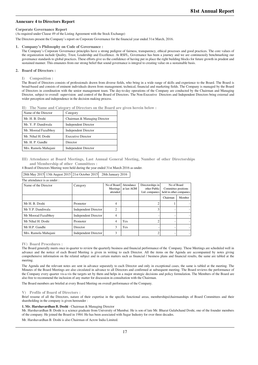#### **Annexure 4 to Directors Report**

**Corporate Governance Report**

(As required under Clause 49 of the Listing Agreement with the Stock Exchange)

The Directors present the Company's report on Corporate Governance for the financial year ended 31st March, 2016.

**1. Company's Philosophy on Code of Governance :**

The Company's Corporate Governance principles have a strong pedigree of fairness, transparency, ethical processes and good practices. The core values of the organization include Quality, Trust, Leadership and Excellence. At RSFL, Governance has been a journey and we are continuously benchmarking our governance standards to global practices. These efforts give us the confidence of having put in place the right building blocks for future growth in prudent and sustained manner. This emanates from our strong belief that sound governance is integral to creating value on a sustainable basis.

#### **2. Board of Directors :**

**I) Composition :**

The Board of Directors consists of professionals drawn from diverse fields, who bring in a wide range of skills and experience to the Board. The Board is broad-based and consists of eminent individuals drawn from management, technical, financial and marketing fields. The Company is managed by the Board of Directors in coordination with the senior management team. The day-to-day operations of the Company are conducted by the Chairman and Managing Director, subject to overall supervision and control of the Board of Directors. The Non-Executive Directors and Independent Directors bring external and wider perception and independence in the decision making process.

**II) The Name and Category of Directors on the Board are given herein below :**

| Name of the Director | Category                     |
|----------------------|------------------------------|
| Mr. H. B. Doshi      | Chairman & Managing Director |
| Mr. Y. P. Dandiwala  | <b>Independent Director</b>  |
| Mr. Moorad Fazalbhoy | <b>Independent Director</b>  |
| Mr. Nihal H. Doshi   | <b>Executive Director</b>    |
| Mr. H. P. Gandhi     | Director                     |
| Mrs. Ramola Mahajani | <b>Independent Director</b>  |

**III) Attendance at Board Meetings, Last Annual General Meeting, Number of other Directorships and Membership of other Committees :**

4 Board of Directors Meeting were held during the year ended 31st March 2016 as under.

| The attendance is as under: |                             |                                     |                           |                                                    |                                                               |        |
|-----------------------------|-----------------------------|-------------------------------------|---------------------------|----------------------------------------------------|---------------------------------------------------------------|--------|
| Name of the Director        | Category                    | No of Board<br>Meetings<br>attended | Attendance<br>at last AGM | Directorships in<br>other Public<br>Ltd. companies | No of Board<br>Committee positions<br>held in other companies |        |
|                             |                             |                                     |                           |                                                    | Chairman                                                      | Member |
| Mr H. B. Doshi              | Promoter                    | 4                                   |                           |                                                    |                                                               |        |
| Mr Y.P. Dandiwala           | <b>Independent Director</b> | $\overline{2}$                      |                           | 3                                                  |                                                               |        |
| Mr Moorad Fazalbhoy         | <b>Independent Director</b> | 4                                   |                           |                                                    |                                                               |        |
| Mr Nihal H. Doshi           | Promoter                    | 4                                   | Yes                       |                                                    |                                                               |        |
| Mr H.P. Gandhi              | Director                    | 3                                   | Yes                       |                                                    |                                                               |        |
| Mrs. Ramola Mahajani        | <b>Independent Director</b> | 3                                   |                           |                                                    |                                                               |        |

28th May 2015 13th August 2015 21st October 2015 28th January 2016

**IV) Board Procedures :**

The Board generally meets once in quarter to review the quarterly business and financial performance of the Company. These Meetings are scheduled well in advance and the notice of each Board Meeting is given in writing to each Director. All the items on the Agenda are accompanied by notes giving comprehensive information on the related subject and in certain matters such as financial / business plans and financial results, the same are tabled at the meeting.

The Agenda and the relevant notes are sent in advance separately to each Director and only in exceptional cases, the same is tabled at the meeting. The Minutes of the Board Meetings are also circulated in advance to all Directors and confirmed at subsequent meeting. The Board reviews the performance of the Company every quarter vis-a-vis the targets set by them and helps in a major strategic decisions and policy formulation. The Members of the Board are also free to recommend the inclusion of any matter for discussion in consultation with the Chairman.

The Board members are briefed at every Board Meeting on overall performance of the Company.

**V) Profile of Board of Directors :**

Brief resume of all the Directors, nature of their expertise in the specific functional areas, memberships/chairmanships of Board Committees and their shareholding in the company is given hereunder :

**1. Mr. Harshavardhan B. Doshi** - Chairman & Managing Director

Mr. Harshavardhan B. Doshi is a science graduate from University of Mumbai. He is son of late Mr. Bharat Gulabchand Doshi, one of the founder members of the company. He joined the Board in 1984. He has been associated with Sugar Industry for over three decades.

Mr. Harshavardhan B. Doshi is also Chairman of Acrow India Limited.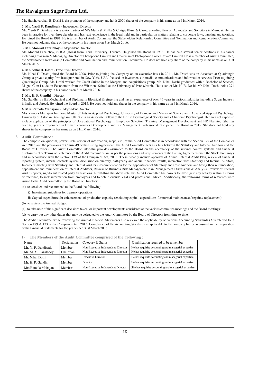Mr. Harshavardhan B. Doshi is the promoter of the company and holds 2070 shares of the company in his name as on 31st March 2016.

#### **2. Mr. Yazdi P. Dandiwala** - Independent Director

Mr. Yazdi P. Dandiwala is a senior partner of M/s Mulla & Mulla & Craigie Blunt & Caroe, a leading firm of Advocates and Solicitors in Mumbai. He has been in practice for over three decades and has vast experience in the legal field and in particular on matters relating to corporate laws, banking and taxation. He joined the Board in 1991. He is a member of Audit Committee, the Stakeholders Relationship Committee and Nomination and Remuneration Committee. He does not hold any share of the company in his name as on 31st March 2016.

#### **3. Mr. Moorad Fazalbhoy** - Independent Director

Mr. Moorad Fazalbhoy, is B.A (Hons) from York University, Toronto. He joined the Board in 1992. He has held several senior positions in his career including Chairman & Managing Director of Photophone Limited and Chairman of Photophone Comel Private Limited. He is a member of Audit Committee, the Stakeholders Relationship Committee and Nomination and Remuneration Committee. He does not hold any share of the company in his name as on 31st March 2016.

#### **4. Mr. Nihal H. Doshi** - Executive Director

Mr. Nihal H. Doshi joined the Board in 2008. Prior to joining the Company on an executive basis in 2011, Mr. Doshi was an Associate at Quadrangle Group, a private equity firm headquartered in New York, USA, focused on investments in media, communications and information services. Prior to joining Quadrangle Group, Mr. Doshi worked for Credit Suisse in the Mergers and Acquisitions group. Mr. Nihal Doshi graduated with a Bachelor of Science, Magna Cum Laude, in Eeconomics from the Wharton School at the University of Pennsylvania. He is son of Mr. H. B. Doshi. Mr Nihal Doshi holds 291 shares of the company in his name as on 31st March 2016.

#### **5. Mr. H. P. Gandhi** - Director

Mr. Gandhi is a BE Mechanical and Diploma in Electrical Engineering and has an experience of over 46 years in various industries including Sugar Industry in India and abroad. He joined the Board in 2015. He does not hold any shares in the company in his name as on 31st March 2016.

#### **6. Mrs Ramola Mahajani** - Independent Director

Mrs Ramola Mahajani has done Master of Arts in Applied Psychology, University of Bombay and Master of Science with Advanced Applied Psychology, University of Aston in Birmingham, UK. She is an Associate Fellow of the British Psychological Society and a Chartered Psychologist. Her areas of expertise include application of the principles of Occupational Psychology in Employee Selection, Training, Management Development and HR Planning. She has over 40 years of experience in Human Resources Development and is a Management Professional. She joined the Board in 2015. She does not hold any shares in the company in her name as on 31st March 2016.

#### **3. Audit Committee :**

The composition, quorum, powers, role, review of information, scope, etc., of the Audit Committee is in accordance with the Section 179 of the Companies Act, 2013 and the provisions of Clause 49 of the Listing Agreement. The Audit Committee acts as a link between the Statutory and Internal Auditors and the Board of Directors. The Audit Committee inter-alia provides assurance to the Board on the adequancy of the internal control systems and financial disclosures. The Terms of Reference of the Audit Committee are as per the provisions and requirements of the Listing Agreements with the Stock Exchanges and in accordance with the Section 179 of the Companies Act, 2013. These broadly include approval of Annual Internal Audit Plan, review of financial reporting system, internal controls system, discussion on quartely, half-yearly and annual financial results, interaction with Statutory and Internal Auditors, In-camera meeting with Statutory and Internal Auditors, recommendation for the appointment of Statutory and Cost Auditors and fixing their remuneration, appointment and remuneration of Internal Auditors, Review of Business Risk Management Plan, Management Discussions & Analysis, Review of Internal Audit Reports, significant related party transactions. In fulfilling the above role, the Audit Committee has powers to investigate any activity within its terms of reference, to seek information from employees and to obtain outside legal and professional advice. Additionally, the following terms of reference were issued to the Audit committee by the Board of Directors:

(a) to consider and recommend to the Board the following:

i) Investment guidelines for treasury operations;

ii) Capital expenditure for enhancemen t of production capacity (excluding capital expenditure for normal maintenance / repairs / replacement).

(b) to review the Annual Budget.

(c) to take note of the significant decisions taken, or important developments considered at the various committee meetings and the Board meetings:

(d) to carry out any other duties that may be delegated to the Audit Committee by the Board of Directors from time-to-time.

The Audit Committee, while reviewing the Annual Financial Statements also reviewed the applicability of various Accounting Standards (AS) referred to in Section 129 & 133 of the Companies Act, 2013. Compliance of the Accounting Standards as applicable to the company has been ensured in the preparation of the Financial Statements for the year ended 31st March 2016.

| Name                | Designation | Category & Status                  | Qualification required to be a member                 |
|---------------------|-------------|------------------------------------|-------------------------------------------------------|
| Mr. Y. P. Dandiwala | Member      | Non-Executive Independent Director | He has requisite accounting and managerial expertise  |
| Mr. M. Y. Fazalbhoy | Chairman    | Non-Executive Independent Director | He has requisite accounting and managerial expertise  |
| Mr. Nihal Doshi     | Member      | <b>Executive Director</b>          | He has requisite accounting and managerial expertise  |
| Mr. H. P. Gandhi    | Member      | Director                           | He has requisite accounting and managerial expertise  |
| Mrs Ramola Mahajani | Member      | Non-Executive Independent Director | She has requisite accounting and managerial expertise |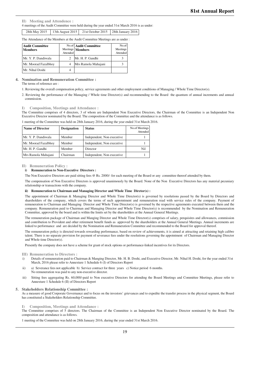**II) Meeting and Attendence :**

4 meetings of the Audit Committee were held during the year ended 31st March 2016 is as under:

|  | 28th May 2015 13th August 2015 21st October 2015 28th January 2016 |  |
|--|--------------------------------------------------------------------|--|
|  |                                                                    |  |

The Attendance of the Members at the Audit Committee Meetings are as under :

| <b>Audit Committee</b><br><b>Members</b> | Attended | No.of Audit Committee<br>Meetings Members | No.of<br>Meetings<br>Attended |
|------------------------------------------|----------|-------------------------------------------|-------------------------------|
| Mr. Y. P. Dandiwala                      |          | Mr. H. P. Gandhi                          |                               |
| Mr. Moorad Fazalbhoy                     |          | Mrs Ramola Mahajani                       |                               |
| Mr. Nihal Doshi                          |          |                                           |                               |

#### **4. Nomination and Remuneration Committee :**

The terms of reference are :

1. Reviewing the overall compensation policy, service agreements and other employment conditions of Managing / Whole Time Director(s).

2. Reviewing the performance of the Managing / Whole time Director(s) and recommending to the Board the quantum of annual increments and annual commission.

**I) Composition, Meetings and Attendance :**

The Committee comprises of 4 directors, 3 of whom are Independent Non Executive Directors, the Chairman of the Committee is an Independent Non Executive Director nominated by the Board. The composition of the Committee and the attendance is as follows.

| <b>Name of Director</b> | <b>Designation</b> | <b>Status</b>              | No.of Meetings<br>Attended |
|-------------------------|--------------------|----------------------------|----------------------------|
| Mr. Y. P. Dandiwala     | Member             | Independent, Non executive |                            |
| Mr. Moorad Fazalbhoy    | Member             | Independent, Non executive |                            |
| Mr. H. P. Gandhi        | Member             | Director                   | Nil                        |
| Mrs Ramola Mahajani     | Chairman           | Independent, Non executive |                            |

1 meeting of the Committee was held on 28th January 2016, during the year ended 31st March 2016.

#### **II) Remuneration Policy :**

#### **i) Remuneration to Non-Executive Directors :**

The Non Executive Directors are paid sitting fees @ Rs. 2000/- for each meeting of the Board or any committee thereof attended by them.

The compensation of Non Executive Directors is approved unanimously by the Board. None of the Non Executive Directors has any material pecuniary relationship or transactions with the company.

#### **ii) Remuneration to Chairman and Managing Director and Whole Time Diretor(s) :**

The appointment of Chairman & Managing Director and Whole Time Director(s) is governed by resolutions passed by the Board by Directors and shareholders of the company, which covers the terms of such appointment and remuneration read with service rules of the company. Payment of remuneration to Chairman and Managing Director and Whole Time Director(s) is governed by the respective agreements executed between them and the company. Remuneration paid to Chairman and Managing Director and Whole Time Director(s) is recommended by the Nomination and Remuneration Committee, approved by the board and is within the limits set by the shareholders at the Annual General Meetings.

The remuneration package of Chairman and Manging Director and Whole Time Director(s) comprises of salary, perquisites and allowances, commission and contribution to Provident and other retirement benefit funds as approved by the shareholders at the Annual General Meetings. Annual increments are linked to performance and are decided by the Nomination and Remuneration Committee and recommended to the Board for approval thereof.

The remuneration policy is directed towards rewarding performance, based on review of achievements, it is aimed at attracting and retaining high calibre talent. There is no separate provision for payment of severance fees under the resolutions governing the appointment of Chairman and Managing Director and Whole time Director(s).

Presently the company does not have a scheme for grant of stock options or performance-linked incentives for its Directors.

#### **III) Remuneration to Directors :**

- i) Details of remuneration paid to Chairman & Manging Director, Mr. H. B. Doshi, and Executive Director, Mr. Nihal H. Doshi, for the year ended 31st March, 2016 please refer to Annexture 1 Schedule 6 (I) of Directors Report
- ii) a) Severance fees not applicable b) Service contract for three years c) Notice period 6 months. No remuneration was paid to any non-executive director.
- iii) Sitting fees aggregating Rs. 60,000/-paid to Non executive Directors for attending the Board Meetings and Committee Meetings, please refer to Annexture 1 Schedule 6 (II) of Directors Report

#### **5. Stakeholders Relationship Committee :**

As a measure of good Corporate Governance and to focus on the investors' grievances and to expedite the transfer process in the physical segment, the Board has constituted a Stakeholders Relationship Committee.

#### **I) Composition, Meetings and Attendance :**

The Committee comprises of 5 directors. The Chairman of the Committee is an Independent Non Executive Director nominated by the Board. The composition and attendance is as follows.

1 meeting of the Committee was held on 28th January 2016, during the year ended 31st March 2016.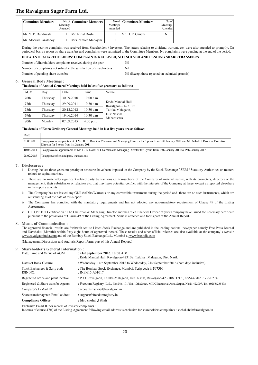| <b>Committee Members</b> | Meetings<br>Attended | No.of Committee Members | Meetings<br>Attended | No.of Committee Members | No.of<br>Meetings<br>Attended |
|--------------------------|----------------------|-------------------------|----------------------|-------------------------|-------------------------------|
| Mr. Y. P. Dandiwala      |                      | Mr. Nihal Doshi         |                      | Mr. H. P. Gandhi        | Nil                           |
| Mr. Moorad Fazalbhoy     |                      | Mrs Ramola Mahajani     |                      |                         |                               |

During the year no complaint was received from Shareholders / Investors. The letters relating to dividend warrant, etc. were also attended to promptly. On periodical basis a report on share transfers and complaints were submitted to the Committee Members. No complaints were pending at the end of the period.

#### **DETAILS OF SHAREHOLDERS' COMPLAINTS RECEIVED, NOT SOLVED AND PENDING SHARE TRANSFERS.**

Number of Shareholders complaints received during the year Nil

Number of complaints not solved to the satisfaction of shareholders Nil

Number of pending share transfer: Nil (Except those rejected on technical grounds)

#### **6. General Body Meetings :**

#### **The details of Annual General Meetings held in last five years are as follows:**

| AGM  | Day      | Date       | Time        | Venue                                      |
|------|----------|------------|-------------|--------------------------------------------|
| 76th | Thursday | 30.09.2010 | 10.00 a.m   |                                            |
| 77th | Thursday | 29.09.2011 | 10.30 a.m   | Krida Mandal Hall,<br>Ravalgaon $-423$ 108 |
| 78th | Thursday | 20.12.2012 | 10.30 a.m   | Taluka Malegaon,                           |
| 79th | Thursday | 19.06.2014 | 10.30 a.m   | Dist Nashik<br>Maharashtra                 |
| 80th | Monday   | 07.09.2015 | $4:00$ p.m. |                                            |

#### **The details of Extra Ordinary General Meetings held in last five years are as follows:**

| Date       |                                                                                                                                                                                                      |
|------------|------------------------------------------------------------------------------------------------------------------------------------------------------------------------------------------------------|
| 31.03.2011 | To approve re-appointment of Mr. H. B. Doshi as Chairman and Managing Director for 3 years from 16th January 2011 and Mr. Nihal H. Doshi as Executive<br>Director for 5 years from 1st January 2011. |
| 10.04.2014 | To approve re-appointment of Mr. H. B. Doshi as Chairman and Managing Director for 3 years from 16th January 2014 to 15th January 2017.                                                              |
| 28.02.2015 | To approve of related party transactions.                                                                                                                                                            |

#### **7. Disclosures :**

During the last three years, no penalty or strictures have been imposed on the Company by the Stock Exchange / SEBI / Statutory Authorities on matters related to capital markets.

- ii There are no materially significant related party transactions i.e. transactions of the Company of material nature, with its promoters, directors or the management, their subsidiaries or relatives etc. that may have potential conflict with the interests of the Company at large, except as reported elsewhere in the report / acounts.
- iii The Company has not issued any GDRs/ADRs/Warrants or any convertible instrument during the period and there are no such instruments, which are outstanding as of the date of this Report.
- iv The Compaany has complied with the mandatory requirements and has not adopted any non-mandatory requirement of Clause 49 of the Listing Agreements.
- v C E O/C F O Certification : The Chairman & Managing Director and the Chief Financial Officer of your Company have issued the necessary certificate pursuant to the provisions of Clause 49 of the Listing Agreement. Same is attached and forms part of the Annual Report.

#### **8. Means of Communication :**

The approved financial results are forthwith sent to Listed Stock Exchange and are published in the leading national newspaper namely Free Press Journal and Navshakti (Marathi) within forty-eight hours of approved thereof. These results and other official releases are also available at the company's website www.ravalgaonindia.com and of the Bombay Stock Exchange Ltd., Mumbai at www.bseindia.com

(Management Discussions and Analysis Report forms part of this Annual Report.)

| 9. Shareholder's General Information:    |                                                                                                                       |  |  |  |
|------------------------------------------|-----------------------------------------------------------------------------------------------------------------------|--|--|--|
| Date. Time and Venue of AGM              | : 21st September 2016, 10:30 A.M.<br>: Krida Mandal Hall, Ravalgaon-423108, Taluka : Malegaon, Dist. Nasik            |  |  |  |
| Dates of Book Closure                    | : Wednesday, 14th September 2016 to Wednesday, 21st September 2016 (both days inclusive)                              |  |  |  |
| Stock Exchanges & Scrip code<br>ISIN NO. | : The Bombay Stock Exchange, Mumbai. Scrip code is 507300<br>$:$ INE 615 A01017                                       |  |  |  |
| Registered office and plant location     | : P. O. Ravalgaon, Taluka-Malegaon, Dist. Nasik, Ravalgaon-423 108. Tel.: (02554)270238 / 270274                      |  |  |  |
| Registered & Share transfer Agents:      | : Freedom Registry Ltd., Plot No. 101/102, 19th Street, MIDC Industrial Area, Satpur, Nasik-422007, Tel: (0253)235403 |  |  |  |
| Company's E-Mail ID                      | : accounts.factory@ravalgaon.in                                                                                       |  |  |  |
| Share transfer agent's Email address     | : support@freedomregistry.in                                                                                          |  |  |  |
| <b>Compliance Officer</b>                | : Mr. Snehal J Shah                                                                                                   |  |  |  |
|                                          |                                                                                                                       |  |  |  |

Exclusive Email ID for redress of investor complaints :

In terms of clause 47(f) of the Listing Agreement following email address is exclusive for shareholders complaints : snehal.shah@ravalgaon.in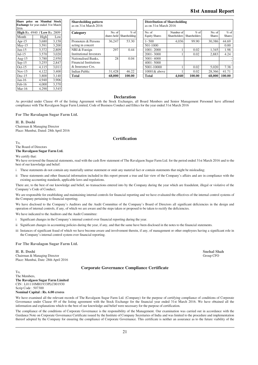## **81st Annual Report**

| 2016:     | Share price on Mumbai Stock<br>Exchange for year ended 31st March |       | <b>Shareholding patter</b><br>as on 31st March 201 |
|-----------|-------------------------------------------------------------------|-------|----------------------------------------------------|
|           | <b>High Rs. 4940 / Low Rs. 2809</b>                               |       | Category                                           |
| Month     | High                                                              | Low   |                                                    |
| Apr- $15$ | 3,680                                                             | 3,158 | Promoters & Persons                                |
| $May-15$  | 3,591                                                             | 3,200 | acting in concert                                  |
| $Jun-15$  | 3,372                                                             | 2,809 | NRI & Foreign                                      |
| $Jul-15$  | 3,570                                                             | 3,020 | <b>Institutional Investor</b>                      |
| Aug- $15$ | 3,780                                                             | 2,950 | Nationalised Banks,                                |
| $Sep-15$  | 3,255                                                             | 2,847 | <b>Financial Institutions</b>                      |
| $Oct-15$  | 4,115                                                             | 3,011 | & Insurance Cos.                                   |
| $Nov-15$  | 4,122                                                             | 3,400 | <b>Indian Public</b>                               |
| $Dec-15$  | 3,800                                                             | 3,140 | <b>Total</b>                                       |
| $Jan-16$  | 4,940                                                             | 3,906 |                                                    |
| $Feb-16$  | 4,000                                                             | 3,370 |                                                    |
| $Mar-16$  | 4,290                                                             | 3,545 |                                                    |
|           |                                                                   |       |                                                    |

| Share price on Mumbai Stock<br>Exchange for year ended 31st March<br>2016: |       |       | <b>Shareholding pattern</b><br>as on 31st March 2016 |             |              |
|----------------------------------------------------------------------------|-------|-------|------------------------------------------------------|-------------|--------------|
| High Rs. 4940 / Low Rs. 2809                                               |       |       | Category                                             | No. of      | $%$ of       |
| Month                                                                      | High  | Low   |                                                      | shares held | Shareholding |
| Apr-15                                                                     | 3,680 | 3,158 | Promoters & Persons                                  | 36,247      | 53.30        |
| May-15                                                                     | 3,591 | 3.200 | acting in concert                                    |             |              |
| Jun-15                                                                     | 3,372 | 2,809 | NRI & Foreign                                        | 297         | 0.44         |
| Jul-15                                                                     | 3,570 | 3,020 | <b>Institutional Investors</b>                       |             |              |
| Aug-15                                                                     | 3,780 | 2,950 | Nationalised Banks.                                  | 28          | 0.04         |
| $Sep-15$                                                                   | 3,255 | 2,847 | <b>Financial Institutions</b>                        |             |              |
| Oct-15                                                                     | 4,115 | 3,011 | & Insurance Cos.                                     |             |              |
| Nov-15                                                                     | 4,122 | 3,400 | <b>Indian Public</b>                                 | 31,428      | 46.22        |
| $Dec-15$                                                                   | 3.800 | 3,140 | <b>Total</b>                                         | 68,000      | 100.00       |
|                                                                            |       |       |                                                      |             |              |

| <b>Distribution of Shareholding</b> |  |
|-------------------------------------|--|
| as on 31st March 2016               |  |

| 2016:                        |       |          |                                |        |                          |                      |        |                           |               |               |
|------------------------------|-------|----------|--------------------------------|--------|--------------------------|----------------------|--------|---------------------------|---------------|---------------|
| High Rs. 4940 / Low Rs. 2809 |       | Category | No. of                         | $%$ of | No. of                   | Number of            | $%$ of | No. of                    | $%$ of        |               |
| Month                        | High  | Low      |                                |        | shares held Shareholding | <b>Equity Shares</b> |        | Shareholders Shareholders | <b>Shares</b> | <b>Shares</b> |
| Apr-15                       | 3.680 | 3.158    | Promoters & Persons            | 36.247 | 53.30                    | $1 - 500$            | 4.036  | 99.90                     | 30,386        | 44.69         |
| $May-15$                     | 3,591 | 3.200    | acting in concert              |        |                          | 501-1000             |        |                           |               | 0.00          |
| Jun-15                       | 3,372 | 2.809    | NRI & Foreign                  | 297    | 0.44                     | $1001 - 2000$        |        | 0.02                      | 1.345         | 1.98          |
| $Jul-15$                     | 3.570 | 3.020    | <b>Institutional Investors</b> |        |                          | 2001-3000            |        | 0.02                      | 2.883         | 4.24          |
| Aug-15                       | 3.780 | 2.950    | Nationalised Banks.            | 28     | 0.04                     | 3001-4000            |        |                           |               |               |
| $Sep-15$                     | 3,255 | 2.847    | <b>Financial Institutions</b>  |        |                          | $4001 - 5000$        |        |                           |               |               |
| $Oct-15$                     | 4,115 | 3.011    | & Insurance Cos.               |        |                          | 5001-10000           |        | 0.02                      | 5.020         | 7.38          |
| $Nov-15$                     | 4,122 | 3.400    | Indian Public                  | 31.428 | 46.22                    | $10001\&$ above      |        | 0.02                      | 28,366        | 41.71         |
| $Dec-15$                     | 3.800 | 3.140    | <b>Total</b>                   | 68,000 | 100.00                   | <b>Total</b>         | 4.040  | 100.00                    | 68,000        | 100.00        |

#### **Declaration**

As provided under Clause 49 of the listing Agreement with the Stock Exchanges, all Board Members and Senior Management Personnel have affirmed compliance with The Ravalgaon Sugar Farm Limited, Code of Business Conduct and Ethics for the year ended 31st March 2016

#### **For The Ravalagon Sugar Farm Ltd.**

**H. B. Doshi** Chairman & Managing Director Place: Mumbai, Dated: 28th April 2016

#### **Certification**

To, The Board of Directors **The Ravalgaon Sugar Farm Ltd.**

We certify that:

We have reviewed the financial statements, read with the cash flow statement of The Ravalgaon Sugar Farm Ltd. for the period ended 31st March 2016 and to the best of our knowledge and belief:

These statements do not contain any materially untrue statement or omit any material fact or contain statements that might be misleading;

ii These statements and other financial information included in this report present a true and fair view of the Company's affairs and are in compliance with the existing accounting standards, applicable laws and regulations.

There are, to the best of our knowledge and belief, no transactions entered into by the Company during the year which are fraudulent, illegal or violative of the Company's Code of Conduct;

We are responsible for establishing and maintaining internal controls for financial reporting and we have evaluated the effectives of the internal control systems of the Company pertaining to financial reporting;

We have disclosed to the Company's Auditors and the Audit Committee of the Company's Board of Directors all significant deficiencies in the design and operation of internal controls, if any, of which we are aware and the steps taken or proposed to be taken to rectify the deficiencies.

We have indicated to the Auditors and the Audit Committee:

i Significant changes in the Company's internal control over financial reporting during the year.

- ii Significant changes in accounting policies during the year, if any, and that the same have been disclosed in the notes to the financial statements.
- iii Instances of significant fraud of which we have become aware and involvement therein, if any, of management or other employees having a significant role in the Company's internal control system over financial reporting.

#### **For The Ravalagon Sugar Farm Ltd.**

**H. B. Doshi Snehal Shah** Chairman & Managing Director Group CFO Place: Mumbai, Date: 28th April 2016

#### **Corporate Governance Compliance Certificate**

To, The Members, **The Ravalgaon Sugar Farm Limited** CIN : L01110MH1933PLC001930 Scrip Code : 507300 **Nominal Capital : Rs. 6.00 crores**

We have examined all the relevant records of The Ravalgaon Sugar Farm Ltd. (Company) for the purpose of certifying compliance of conditions of Corporate Governance under Clause 49 of the listing agreement with the Stock Exchange for the financial year ended 31st March 2016. We have obtained all the information and explanations which to the best of our knowledge and belief were necessary for the purpose of certification.

The compliance of the conditions of Corporate Governance is the responsibility of the Management. Our examination was carried out in accordance with the Guidance Note on Corporate Governance Certificate issued by the Institute of Company Secretaries of India and was limited to the procedure and implementation thereof adopted by the Company for ensuring the compliance of Corporate Governance. This certificate is neither an assurance as to the future viability of the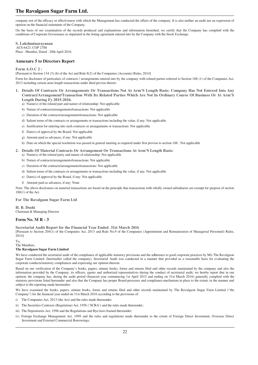company nor of the efficacy or effectiveness with which the Management has conducted the affairs of the company. It is also neither an audit nor an expression of opinion on the financial statements of the Company.

On the basis of our examination of the records produced and explanations and information furnished, we certify that the Company has compiled with the conditions of Corporate Governance as stipulated in the listing agreement entered into by the Company with the Stock Exchange.

**S. Lakshminarayanan** ACS 6423, COP 2788 Place : Mumbai, Dated : 28th April 2016

#### **Annexure 5 to Directors Report**

#### **Form A.O.C 2 :**

[Pursuant to Section 134 (3) (h) of the Act and Rule 8(2) of the Companies (Accounts) Rules, 2014]

Form for disclosure of particulars of contracts / arrangements entered into by the company with related parties referred to Section 188 (1) of the Companies Act, 2013 including certain arms length transactions under third proviso thereto

- **1. Details Of Contracts Or Arrangements Or Transactions Not At Arm'S Length Basis: Company Has Not Entered Into Any Contract/Arrangement/Transaction With Its Related Parties Which Are Not In Ordinary Course Of Business Or At Arm'S Length During Fy 2015-2016.** 
	- a) Name(s) of the related part and nature of relationship: Not applicable
	- b) Nature of contracts/arrangements/transactions: Not applicable
	- c) Duration of the contracts/arrangements/transactions: Not applicable
	- d) Salient terms of the contracts or arrangements or transactions including the value, if any: Not applicable
	- e) Justification for entering into such contracts or arrangements or transactions: Not applicable
	- f) Date(s) of approval by the Board: Not applicable
	- g) Amount paid as advances, if any: Not applicable
	- h) Date on which the special resolution was passed in general meeting as required under first proviso to section 188 : Not applicable
- **2. Details Of Material Contracts Or Arrangement Or Transactions At Arm'S Length Basis:**
	- a) Name(s) of the related party and nature of relationship: Not applicable
	- b) Nature of contracts/arrangements/transactions: Not applicable
	- c) Duration of the contracts/arrangements/transactions: Not applicable
	- d) Salient terms of the contracts or arrangements or transactions including the value, if any: Not applicable
	- e) Date(s) of approval by the Board, if any: Not applicable
	- f) Amount paid as advances, if any: None

Note: The above disclosures on material transactions are based on the principle that transactions with wholly owned subsidiaries are exempt for purpose of section 188(1) of the Act.

**For The Ravalgaon Sugar Farm Ltd**

**H. B. Doshi** Chairman & Managing Director

#### **Form No. M R - 3**

**Secretarial Audit Report for the Financial Year Ended 31st March 2016**

[Pursuant to Section 204(1) of the Companies Act, 2013 and Rule No.9 of the Companies (Appointment and Remuneration of Managerial Personnel) Rules, 2014]

To,

The Members,

#### **The Ravalgaon Sugar Farm Limited**

We have conducted the secretarial audit of the compliance of applicable statutory provisions and the adherence to good corporate practices by M/s The Ravalgaon Sugar Farm Limited. (hereinafter called the company). Secretarial Audit was conducted in a manner that provided us a reasonable basis for evaluating the corporate conducts/statutory compliances and expressing our opinion thereon.

Based on our verification of the Company's books, papers, minute books, forms and returns filed and other records maintained by the company and also the information provided by the Company, its officers, agents and authorized representatives during the conduct of secretarial audit, we hereby report that in our opinion, the company has, during the audit period (financial year commencing 1st April 2015 and ending on 31st March 2016) generally complied with the statutory provisions listed hereunder and also that the Company has proper Board-processes and compliance-mechanism in place to the extent, in the manner and subject to the reporting made hereinafter:

We have examined the books, papers, minute books, forms and returns filed and other records maintained by The Ravalgaon Sugar Farm Limited ("the Company") for the financial year ended on 31st March 2016 according to the provisions of:

- i) The Companies Act, 2013 (the Act) and the rules made thereunder;
- ii) The Securities Contracts (Regulation) Act, 1956 ('SCRA') and the rules made thereunder;
- iii) The Depositories Act, 1996 and the Regulations and Bye-laws framed thereunder;
- iv) Foreign Exchange Management Act, 1999 and the rules and regulations made thereunder to the extent of Foreign Direct Investment, Overseas Direct Investment and External Commercial Borrowings;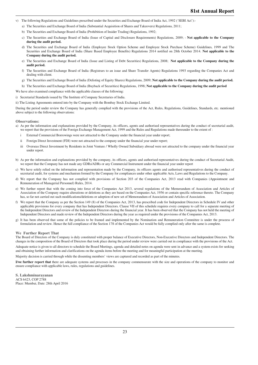- v) The following Regulations and Guidelines prescribed under the Securities and Exchange Board of India Act, 1992 ('SEBI Act'):
	- a) The Securities and Exchange Board of India (Substantial Acquisition of Shares and Takeovers) Regulations, 2011;
	- b) The Securities and Exchange Board of India (Prohibition of Insider Trading) Regulations, 1992;
	- c) The Securities and Exchange Board of India (Issue of Capital and Disclosure Requirements) Regulations, 2009; **Not applicable to the Company during the audit period.**
	- d) The Securities and Exchange Board of India (Employee Stock Option Scheme and Employee Stock Purchase Scheme) Guidelines, 1999 and The Securities and Exchange Board of India (Share Based Employee Benefits) Regulations 2014 notified on 28th October 2014. **Not applicable to the Company during the audit period.**
	- e) The Securities and Exchange Board of India (Issue and Listing of Debt Securities) Regulations, 2008; **Not applicable to the Company during the audit period.**
	- f) The Securities and Exchange Board of India (Registrars to an issue and Share Transfer Agents) Regulations 1993 regarding the Companies Act and dealing with client.
	- g) The Securities and Exchange Board of India (Delisting of Equity Shares) Regulations, 2009; **Not applicable to the Company during the audit period.**
	- h) The Securities and Exchange Board of India (Buyback of Securities) Regulations, 1998; **Not applicable to the Company during the audit period**
- We have also examined compliance with the applicable clauses of the following:
- i) Secretarial Standards issued by The Institute of Company Secretaries of India.
- ii) The Listing Agreements entered into by the Company with the Bombay Stock Exchange Limited.

During the period under review the Company has generally complied with the provisions of the Act, Rules, Regulations, Guidelines, Standards, etc. mentioned above subject to the following observations:

#### **Observations:**

a) As per the information and explanations provided by the Company, its officers, agents and authorised representatives during the conduct of secretarial audit, we report that the provisions of the Foreign Exchange Management Act, 1999 and the Rules and Regulations made thereunder to the extent of :

- i External Commercial Borrowings were not attracted to the Company under the financial year under report;
- ii Foreign Direct Investment (FDI) were not attracted to the company under the financial year under report;
- iii Overseas Direct Investment by Residents in Joint Venture / Wholly Owned Subsidiary abroad were not attracted to the company under the financial year under report.
- b) As per the information and explanations provided by the company, its officers, agents and authorised representatives during the conduct of Secretarial Audit, we report that the Company has not made any GDRs/ADRs or any Commercial Instrument under the financial year under report
- c) We have solely relied on the information and representation made by the Company, its officers agents and authorised representatives during the conduct of secretarial audit, for systems and mechanism formed by the Company for compliances under other applicable Acts, Laws and Regulations to the Company.
- d) We report that the Company has not complied with provisions of Section 203 of the Companies Act, 2013 read with Companies (Appointment and Remuneration of Managerial Personnel) Rules, 2014.
- e) We further report that with the coming into force of the Companies Act 2013, several regulations of the Memorandum of Association and Articles of Association of the Company require alterations or deletions as they are based on the Companies Act, 1956 or contain specific reference thereto. The Company has, so far not carried out such modifications/deletions or adoption of new set of Memorandum of Association and Articles of Association.
- f) We report that the Company as per the Section 149 (8) of the Companies Act, 2013, has prescribed code for Independent Directors in Schedule IV and other applicable provisions for every company that has Independent Directors. Clause VII of this schedule requires every company to call for a separate meeting of the Independent Directors and review of the Independent Directors during the financial year. It has been observed that the Company has not held the meeting of Independent Directors and made review of the Independent Directors during the year as required under the provisions of the Companies Act, 2013.
- g) It has been observed that some of the policies to be framed and implemented by the Nomination and Remuneration Committee is under the proceess of formulation and review. Hence the full compliance of the Section 178 of the Companies Act would be fully complied only after the same is complete.

#### **We Further Report That**

The Board of Directors of the Company is duly constituted with proper balance of Executive Directors, Non-Executive Directors and Independent Directors. The changes in the composition of the Board of Directors that took place during the period under review were carried out in compliance with the provisions of the Act.

Adequate notice is given to all directors to schedule the Board Meetings, agenda and detailed notes on agenda were sent in advance and a system exists for seeking and obtaining further information and clarifications on the agenda items before the meeting and for meaningful participation at the meeting.

Majority decision is carried through while the dissenting members' views are captured and recorded as part of the minutes.

**I/we further report that** there are adequate systems and processes in the company commensurate with the size and operations of the company to monitor and ensure compliance with applicable laws, rules, regulations and guidelines.

**S. Lakshminarayanan** ACS 6423, COP 2788 Place: Mumbai, Date: 28th April 2016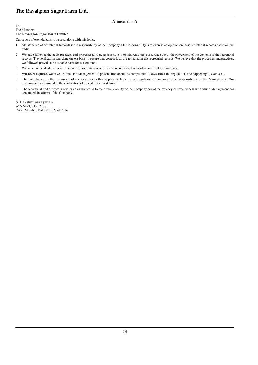#### **Annexure - A**

## To,

#### The Members, **The Ravalgaon Sugar Farm Limited**

Our report of even dated is to be read along with this letter.

- 1 Maintenance of Secretarial Records is the responsibility of the Company. Our responsibility is to express an opinion on these secretarial records based on our audit.
- 2 We have followed the audit practices and processes as were appropriate to obtain reasonable assurance about the correctness of the contents of the secretarial records. The verification was done on test basis to ensure that correct facts are reflected in the secretarial records. We believe that the processes and practices, we followed provide a reasonable basis for our opinion.
- 3 We have not verified the correctness and appropriateness of financial records and books of accounts of the company.
- 4 Wherever required, we have obtained the Management Representation about the compliance of laws, rules and regulations and happening of events etc.
- 5 The compliance of the provisions of corporate and other applicable laws, rules, regulations, standards is the responsibility of the Management. Our examination was limited to the verification of procedures on test basis.
- 6 The secretarial audit report is neither an assurance as to the future viability of the Company nor of the efficacy or effectiveness with which Management has conducted the affairs of the Company.

**S. Lakshminarayanan** ACS 6423, COP 2788 Place: Mumbai, Date: 28th April 2016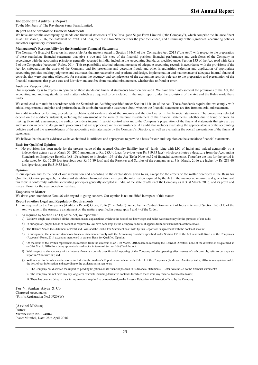#### **Independent Auditor's Report**

To the Members of The Ravalgaon Sugar Farm Limited,

#### **Report on the Standalone Financial Statements**

We have audited the accompanying standalone financial statements of The Ravalgaon Sugar Farm Limited ("the Company"), which comprise the Balance Sheet as at 31st March, 2016, the Statement of Profit and Loss, the Cash Flow Statement for the year then ended, and a summary of the significant accounting policies and other explanatory information.

#### **Management's Responsibility for the Standalone Financial Statements**

The Company's Board of Directors is responsible for the matters stated in Section 134(5) of the Companies Act, 2013 ("the Act") with respect to the preparation of these standalone financial statements that give a true and fair view of the financial position, financial performance and cash flows of the Company in accordance with the accounting principles generally accepted in India, including the Accounting Standards specified under Section 133 of the Act, read with Rule 7 of the Companies (Accounts) Rules, 2014. This responsibility also includes maintenance of adequate accounting records in accordance with the provisions of the Act for safeguarding the assets of the Company and for preventing and detecting frauds and other irregularities; selection and application of appropriate accounting policies; making judgments and estimates that are reasonable and prudent; and design, implementation and maintenance of adequate internal financial controls, that were operating effectively for ensuring the accuracy and completeness of the accounting records, relevant to the preparation and presentation of the financial statements that give a true and fair view and are free from material misstatement, whether due to fraud or error.

#### **Auditors Responsibility**

Our responsibility is to express an opinion on these standalone financial statements based on our audit. We have taken into account the provisions of the Act, the accounting and auditing standards and matters which are required to be included in the audit report under the provisions of the Act and the Rules made there under.

We conducted our audit in accordance with the Standards on Auditing specified under Section 143(10) of the Act. Those Standards require that we comply with ethical requirements and plan and perform the audit to obtain reasonable assurance about whether the financial statements are free from material misstatement.

An audit involves performing procedures to obtain audit evidence about the amounts and the disclosures in the financial statements. The procedures selected depend on the auditor's judgment, including the assessment of the risks of material misstatement of the financial statements, whether due to fraud or error. In making those risk assessments, the auditor considers internal financial control relevant to the Company's preparation of the financial statements that give a true and fair view in order to design audit procedures that are appropriate in the circumstances. An audit also includes evaluating the appropriateness of the accounting policies used and the reasonableness of the accounting estimates made by the Company's Directors, as well as evaluating the overall presentation of the financial statements.

We believe that the audit evidence we have obtained is sufficient and appropriate to provide a basis for our audit opinion on the standalone financial statements.

#### **Basis for Qualified Opinion**

No provision has been made for the present value of the accrued Gratuity liability (net of funds lying with LIC of India) and valued actuarially by a independent actuary as at March 31, 2016 amounting to Rs. 283.40 Lacs (previous year Rs 319.33 lacs) which constitutes a departure from the Accounting Standards on Employee Benefits (AS-15) referred to in Section 133 of the Act (Refer Note no.32 of financial statements). Therefore the loss for the period is understated by Rs. 17.20 lacs (previous year Rs 17.89 lacs) and the Reserves and Surplus of the company as at 31st March, 2016 are higher by Rs. 283.40 lacs (previous year Rs 319.33 lacs).

#### **Opinion**

In our opinion and to the best of our information and according to the explanations given to us, except for the effects of the matter described in the Basis for Qualified Opinion paragraph, the aforesaid standalone financial statements give the information required by the Act in the manner so required and give a true and fair view in conformity with the accounting principles generally accepted in India, of the state of affairs of the Company as at 31st March, 2016, and its profit and its cash flows for the year ended on that date.

#### **Emphasis on Matter**

We draw your attention to Note 36 with regard to going concern. Our opinion is not modified in respect of this matter.

#### **Report on other Legal and Regulatory Requirements**

- As required by the Companies (Auditor's Report) Order, 2016 ("the Order") issued by the Central Government of India in terms of Section 143 (11) of the Act, we give in the Annexure a statement on the matters specified in paragraphs 3 and 4 of the Order.
- 2 As required by Section 143 (3) of the Act, we report that:
	- a) We have sought and obtained all the information and explanations which to the best of our knowledge and belief were necessary for the purposes of our audit.
	- b) In our opinion, proper books of account as required by law have been kept by the Company so far as it appears from our examination of those books.
	- c) The Balance Sheet, the Statement of Profit and Loss, and the Cash Flow Statement dealt with by this Report are in agreement with the books of account.
	- d) In our opinion, the aforesaid standalone financial statements comply with the Accounting Standards specified under Section 133 of the Act, read with Rule 7 of the Companies (Accounts) Rules, 2014 except as mentioned in para on Basis for Qualified Opinion.
	- e) On the basis of the written representations received from the directors as on 31st March, 2016 taken on record by the Board of Directors, none of the directors is disqualified as on 31st March, 2016 from being appointed as a director in terms of Section 164 (2) of the Act.
	- f) With respect to the adequacy of the internal financial controls over financial reporting of the Company and the operating effectiveness of such controls, refer to our separate report in "Annexure B"; and
	- g) With respect to the other matters to be included in the Auditor's Report in accordance with Rule 11 of the Companies (Audit and Auditors) Rules, 2014, in our opinion and to the best of our information and according to the explanations given to us:
		- i. The Company has disclosed the impact of pending litigations on its financial position in its financial statements Refer Note no.27 to the financial statements;
		- ii. The Company did not have any any long-term contracts including derivative contracts for which there were any material foreseeable losses;
		- iii. There has been no delay in transferring amounts, required to be transferred, to the Investor Education and Protection Fund by the Company.

**For V. Sankar Aiyar & Co** Chartered Accountants (Firm's Registration No.109208W)

**(Arvind Mohan)** Partner **Membership No. 124082** Place: Mumbai, Date: 28th April 2016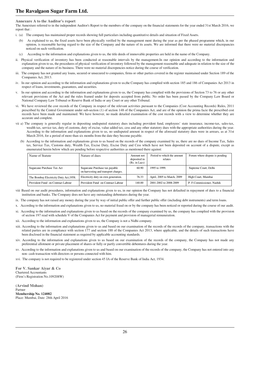#### **Annexure A to the Auditor's report**

The Annexture referred to in the independent Auditor's Report to the members of the company on the financial statements for the year ended 31st March 2016, we report that :

- i. (a) The company has maintained proper records showing full particulars including quantitative details and situation of Fixed Assets.
	- (b) As explained to us, the fixed assets have been physically verified by the management ment during the year as per the phased programme which, in our opinion, is reasonable having regard to the size of the Company and the nature of its assets. We are informed that there were no material discrepancies noticed on such verification.
	- (c) According to the information and explanations given to us, the title deeds of immovable properties are held in the name of the Company.
- ii. Physical verification of inventory has been conducted at reasonable intervals by the management.In our opinion and according to the information and explanation given to us, the procedures of physical verification of inventory followed by the management reasonable and adequate in relation to the size of the company and the nature of its business. There were no material discrepencies notice during the course of verification.
- iii. The company has not granted any loans, secured or unsecured to companies, firms or other parties covered in the register maintained under Section 189 of the Companies Act, 2013.
- iv. In our opinion and according to the information and explanations given to us,the Company has complied with section 185 and 186 of Companies Act 2013 in respect of loans, investments, guarantees, and securities.
- v. In our opinion and according to the information and explanations given to us, the Company has complied with the provisions of Section 73 to 76 or any other relevant provisions of the Act and the rules framed under for deposits accepted from public. No order has been passed by the Company Law Board or National Company Law Tribunal or Reserve Bank of India or any Court or any other Tribunal.
- vi. We have reviewed the cost records of the Company in respect of the relevant activities pursuant to the Companies (Cost Accounting Records) Rules, 2011 prescribed by the Central Government under sub-section (1) of section 148 of the Companies Act, and are of the opinion the prima facie the prescribed cost records have been made and maintained. We have however, no made detailed examination of the cost records with a view to determine whether they are accurate and complete.
- vii a) The company is generally regular in depositing undisputed statutory dues including provident fund, employees' state insurance, income-tax, sales-tax, wealth tax, service tax, duty of customs, duty of excise, value added tax, cess and any other statutory dues with the appropriate authorities during the year. According to the information and explanations given to us, no undisputed amount in respect of the aforesaid statutory dues were in arrears, as at 31st March 2016, for a period of more than six months from the date they become payable.
	- (b) According to the information and explanations given to us based on the records of the company examined by us, there are no dues of Income Tax, Sales tax, Service Tax, Customs duty, Wealth Tax, Excise Duty, Excise Duty and Cess which have not been deposited on account of a dispute, except as enumerated herein below which are pending before respective authorities as mentioned there against:

| Name of Statute                        | Nature of dues                                                         | Amount not<br>deposited in<br>(Rs. in Lacs) | Period to which the amount<br>relates | Forum where dispute is pending |
|----------------------------------------|------------------------------------------------------------------------|---------------------------------------------|---------------------------------------|--------------------------------|
| Sugarcane Purchase Tax Act             | Sugarcane Purchase tax payable<br>on harvesting and transport charges. | 60.90                                       | 1995 to 1999.                         | Supreme Court, Delhi           |
| The Bombay Electricity Duty Act, 1958. | Electricity duty on own generation.                                    | 76.33                                       | April, 2005 to March, 2009            | High Court, Mumbai             |
| Provident Fund on Contract Labour      | Provident Fund on Contract Labour                                      | 140.00                                      | 2001-2002 to 2008-2009                | P. F.Commissioner, Nashik      |

- viii Based on our audit procedures, information and explanations given to us, in our opinion the Company has not defaulted in repayment of dues to a financial institution and banks. The Company does not have any outstanding debentures during the year.
- ix. The company has not raised any money during the year by way of initial public offer and further public offer (including debt instruments) and term loans.
- x. According to the information and explanations given to us, no material fraud on or by the company has been noticed or reported during the course of our audit.
- xi. According to the information and explanations given to us based on the records of the company examined by us, the company has complied with the provision of section 197 read with schedule V of the Companies Act for payment and provision of managerial remuneration.
- According to the information and explanations given to us, the Company is not a Nidhi company.
- xiii. According to the information and explanations given to us and based on our examination of the records of the records of the company, transactions with the related parties are in compliance with section 177 and section 188 of the Companies Act 2013, where applicable, and the details of such transactions have been disclosed in the financial statement as required by applicable accounting standards.
- xiv. According to the information and explanations given to us based on our examination of the records of the company, the Company has not made any preferential allotment or private placement of shares or fully or partly convertible debentures during the year.
- xv. According to the information and explanations given to us and based on our examination of the records of the company, the Company has not entered into any non- cash transaction with directors or persons connected with him.
- xvi. The company is not required to be registered under section 45 IA of the Reserve Bank of India Act, 1934.

**For V. Sankar Aiyar & Co** Chartered Accountants (Firm's Registration No.109208W)

**(Arvind Mohan)** Partner **Membership No. 124082** Place: Mumbai, Date: 28th April 2016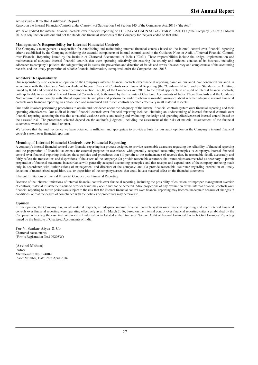#### **Annexure - B to the Auditors' Report**

Report on the Internal Financial Controls under Clause (i) of Sub-section 3 of Section 143 of the Companies Act, 2013 ("the Act")

We have audited the internal financial controls over financial reporting of THE RAVALGAON SUGAR FARM LIMITED ("the Company") as of 31 March 2016 in conjunction with our audit of the standalone financial statements of the Company for the year ended on that date.

#### **Management's Responsibility for Internal Financial Controls**

The Company's management is responsible for establishing and maintaining internal financial controls based on the internal control over financial reporting criteria established by the Company considering the essential components of internal control stated in the Guidance Note on Audit of Internal Financial Controls over Financial Reporting issued by the Institute of Chartered Accountants of India ('ICAI'). These responsibilities include the design, implementation and maintenance of adequate internal financial controls that were operating effectively for ensuring the orderly and efficient conduct of its business, including adherence to company's policies, the safeguarding of its assets, the prevention and detection of frauds and errors, the accuracy and completeness of the accounting records, and the timely preparation of reliable financial information, as required under the Companies Act, 2013.

#### **Auditors' Responsibility**

Our responsibility is to express an opinion on the Company's internal financial controls over financial reporting based on our audit. We conducted our audit in accordance with the Guidance Note on Audit of Internal Financial Controls over Financial Reporting (the "Guidance Note") and the Standards on Auditing, issued by ICAI and deemed to be prescribed under section 143(10) of the Companies Act, 2013, to the extent applicable to an audit of internal financial controls, both applicable to an audit of Internal Financial Controls and, both issued by the Institute of Chartered Accountants of India. Those Standards and the Guidance Note require that we comply with ethical requirements and plan and perform the audit to obtain reasonable assurance about whether adequate internal financial controls over financial reporting was established and maintained and if such controls operated effectively in all material respects.

Our audit involves performing procedures to obtain audit evidence about the adequacy of the internal financial controls system over financial reporting and their operating effectiveness. Our audit of internal financial controls over financial reporting included obtaining an understanding of internal financial controls over financial reporting, assessing the risk that a material weakness exists, and testing and evaluating the design and operating effectiveness of internal control based on the assessed risk. The procedures selected depend on the auditor's judgment, including the assessment of the risks of material misstatement of the financial statements, whether due to fraud or error.

We believe that the audit evidence we have obtained is sufficient and appropriate to provide a basis for our audit opinion on the Company's internal financial controls system over financial reporting.

#### **Meaning of Internal Financial Controls over Financial Reporting**

A company's internal financial control over financial reporting is a process designed to provide reasonable assurance regarding the reliability of financial reporting and the preparation of financial statements for external purposes in accordance with generally accepted accounting principles. A company's internal financial control over financial reporting includes those policies and procedures that (1) pertain to the maintenance of records that, in reasonable detail, accurately and fairly reflect the transactions and dispositions of the assets of the company; (2) provide reasonable assurance that transactions are recorded as necessary to permit preparation of financial statements in accordance with generally accepted accounting principles, and that receipts and expenditures of the company are being made only in accordance with authorisations of management and directors of the company; and (3) provide reasonable assurance regarding prevention or timely detection of unauthorised acquisition, use, or disposition of the company's assets that could have a material effect on the financial statements.

Inherent Limitations of Internal Financial Controls over Financial Reporting

Because of the inherent limitations of internal financial controls over financial reporting, including the possibility of collusion or improper management override of controls, material misstatements due to error or fraud may occur and not be detected. Also, projections of any evaluation of the internal financial controls over financial reporting to future periods are subject to the risk that the internal financial control over financial reporting may become inadequate because of changes in conditions, or that the degree of compliance with the policies or procedures may deteriorate.

#### **Opinion**

In our opinion, the Company has, in all material respects, an adequate internal financial controls system over financial reporting and such internal financial controls over financial reporting were operating effectively as at 31 March 2016, based on the internal control over financial reporting criteria established by the Company considering the essential components of internal control stated in the Guidance Note on Audit of Internal Financial Controls Over Financial Reporting issued by the Institute of Chartered Accountants of India.

**For V. Sankar Aiyar & Co** Chartered Accountants (Firm's Registration No.109208W)

**(Arvind Mohan)** Partner **Membership No. 124082** Place: Mumbai, Date: 28th April 2016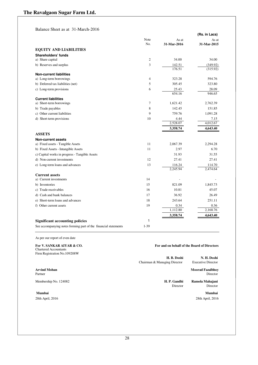Balance Sheet as at 31-March-2016

|                                                                 |                |                  | (Rs. in Lacs) |
|-----------------------------------------------------------------|----------------|------------------|---------------|
|                                                                 | Note           | As at            | As at         |
|                                                                 | No.            | 31-Mar-2016      | 31-Mar-2015   |
| <b>EQUITY AND LIABILITIES</b>                                   |                |                  |               |
| Shareholders' funds                                             |                |                  |               |
| a) Share capital                                                | 2              | 34.00            | 34.00         |
| b) Reserves and surplus                                         | 3              | 142.51<br>176.51 | (349.92)      |
|                                                                 |                |                  | (315.92)      |
| <b>Non-current liabilities</b><br>a) Long-term borrowings       | $\overline{4}$ | 323.28           | 594.76        |
| b) Deferred tax liabilities (net)                               | 5              | 305.45           | 323.80        |
| c) Long-term provisions                                         | 6              | 25.43            | 28.09         |
|                                                                 |                | 654.16           | 946.65        |
| <b>Current liabilities</b>                                      |                |                  |               |
| a) Short-term borrowings                                        | $\overline{7}$ | 1,621.42         | 2,762.39      |
| b) Trade payables                                               | 8              | 142.45           | 151.85        |
| c) Other current liabilities                                    | 9              | 759.76           | 1,091.28      |
| d) Short-term provisions                                        | 10             | 4.44             | 7.15          |
|                                                                 |                | 2,528.07         | 4,012.67      |
|                                                                 |                | 3,358.74         | 4,643.40      |
| <b>ASSETS</b>                                                   |                |                  |               |
| <b>Non-current assets</b>                                       |                |                  |               |
| a) Fixed assets - Tangible Assets                               | 11             | 2,067.39         | 2,294.28      |
| b) Fixed Assets - Intangible Assets                             | 11             | 2.97             | 6.70          |
| c) Capital works in progress - Tangible Assets                  |                | 31.93            | 31.55         |
| d) Non-current investments                                      | 12             | 27.41            | 27.41         |
| e) Long-term loans and advances                                 | 13             | 116.24           | 114.70        |
|                                                                 |                | 2,245.94         | 2,474.64      |
| <b>Current assets</b>                                           |                |                  |               |
| a) Current investments                                          | 14             |                  |               |
| b) Inventories                                                  | 15             | 821.09           | 1,845.73      |
| c) Trade receivables                                            | 16             | 10.81            | 45.07         |
| d) Cash and bank balances                                       | 17             | 36.92            | 26.49         |
| e) Short-term loans and advances                                | 18             | 243.64           | 251.11        |
| f) Other current assets                                         | 19             | 0.34             | 0.36          |
|                                                                 |                | 1,112.80         | 2,168.76      |
|                                                                 |                | 3,358.74         | 4,643.40      |
| <b>Significant accounting policies</b>                          | 1              |                  |               |
| See accompanying notes forming part of the financial statements | $1-39$         |                  |               |

As per our report of even date

**For V. SANKAR AIYAR & CO.** Chartered Accountants Firm Registration No.109208W

Chairman & Managing Director

**H. B. Doshi**<br> **N. H. Doshi**<br> **Executive Director** 

**Arvind Mohan Moorad Fazalbhoy** Partner Director Director

Membership No. 124082 **H. P. Gandhi Ramola Mahajani** 

**For and on behalf of the Board of Directors**

Director Director

28th April, 2016 28th April, 2016

 **Mumbai Mumbai**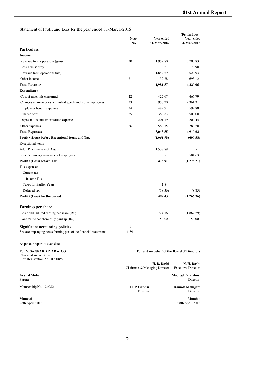| Statement of Profit and Loss for the year ended 31-March-2016 |  |
|---------------------------------------------------------------|--|
|---------------------------------------------------------------|--|

|                                                                                          | Note<br>No. | Year ended<br>31-Mar-2016                   | (Rs. In Lacs)<br>Year ended<br>31-Mar-2015  |
|------------------------------------------------------------------------------------------|-------------|---------------------------------------------|---------------------------------------------|
| <b>Particulars</b>                                                                       |             |                                             |                                             |
| <b>Income</b>                                                                            |             |                                             |                                             |
| Revenue from operations (gross)                                                          | 20          | 1,959.80                                    | 3,703.83                                    |
| Less: Excise duty                                                                        |             | 110.51                                      | 176.90                                      |
| Revenue from operations (net)                                                            |             | 1,849.29                                    | 3,526.93                                    |
| Other income                                                                             | 21          | 132.28                                      | 693.12                                      |
| <b>Total Revenue</b>                                                                     |             | 1,981.57                                    | 4,220.05                                    |
| <b>Expenditure</b>                                                                       |             |                                             |                                             |
| Cost of materials consumed                                                               | 22          | 427.67                                      | 465.79                                      |
| Changes in inventories of finished goods and work-in-progress                            | 23          | 958.20                                      | 2,361.31                                    |
| Employees benefit expenses                                                               | 24          | 482.91                                      | 592.88                                      |
| Finance costs                                                                            | 25          | 383.83                                      | 506.00                                      |
| Depreciation and amortisation expenses                                                   |             | 201.19                                      | 204.45                                      |
| Other expenses                                                                           | 26          | 589.75                                      | 780.20                                      |
| <b>Total Expenses</b>                                                                    |             | 3,043.55                                    | 4,910.63                                    |
| Profit / (Loss) before Exceptional items and Tax                                         |             | (1,061.98)                                  | (690.58)                                    |
| Exceptional items:                                                                       |             |                                             |                                             |
| Add: Profit on sale of Assets                                                            |             | 1,537.89                                    |                                             |
| Less: Voluntary retirement of employees                                                  |             |                                             | 584.63                                      |
| Profit / (Loss) before Tax                                                               |             | 475.91                                      | (1,275.21)                                  |
| Tax expense :                                                                            |             |                                             |                                             |
| Current tax                                                                              |             |                                             |                                             |
| Income Tax                                                                               |             |                                             |                                             |
| <b>Taxes for Earlier Years</b>                                                           |             | 1.84                                        |                                             |
| Deferred tax                                                                             |             | (18.36)                                     | (8.85)                                      |
| Profit / (Loss) for the period                                                           |             | 492.43                                      | (1,266.36)                                  |
| <b>Earnings per share</b>                                                                |             |                                             |                                             |
| Basic and Diluted earning per share (Rs.)                                                |             | 724.16                                      | (1,862.29)                                  |
| Face Value per share fully paid up (Rs.)                                                 |             | 50.00                                       | 50.00                                       |
| <b>Significant accounting policies</b>                                                   | 1           |                                             |                                             |
| See accompanying notes forming part of the financial statements                          | 1-39        |                                             |                                             |
| As per our report of even date                                                           |             |                                             |                                             |
| For V. SANKAR AIYAR & CO<br><b>Chartered Accountants</b><br>Firm Registration No.109208W |             |                                             | For and on behalf of the Board of Directors |
|                                                                                          |             | H. B. Doshi<br>Chairman & Managing Director | N. H. Doshi<br><b>Executive Director</b>    |
| <b>Arvind Mohan</b><br>Partner                                                           |             |                                             | <b>Moorad Fazalbhoy</b><br>Director         |

Membership No. 124082 **H. P. Gandhi Ramola Mahajani** Director **Ramola Mahajani** Director **Ramola Mahajani** Director

Director

**Mumbai Mumbai** 28th April, 2016 28th April, 2016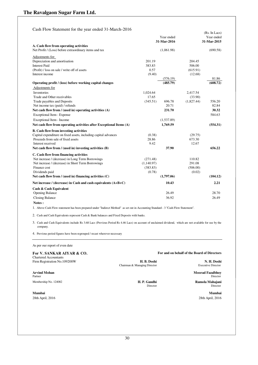Cash Flow Statement for the year ended 31-March-2016

|                                                                     |            |             |            | (Rs. In Lacs) |
|---------------------------------------------------------------------|------------|-------------|------------|---------------|
|                                                                     |            | Year ended  |            | Year ended    |
|                                                                     |            | 31-Mar-2016 |            | 31-Mar-2015   |
| A. Cash flow from operating activities                              |            |             |            |               |
| Net Profit / (Loss) before extraordinary items and tax              |            | (1,061.98)  |            | (690.58)      |
| Adjustments for:                                                    |            |             |            |               |
| Depreciation and amortisation                                       | 201.19     |             | 204.45     |               |
| <b>Interest Paid</b>                                                | 383.83     |             | 506.00     |               |
| (Profit) / loss on sale / write off of assets                       | 0.57       |             | (615.91)   |               |
| Interest income                                                     | (9.40)     |             | (12.68)    |               |
|                                                                     |            | (576.19)    |            | 81.86         |
| Operating profit / (loss) before working capital changes            |            | (485.79)    |            | (608.72)      |
| Adjustments for                                                     |            |             |            |               |
| Inventories                                                         | 1,024.64   |             | 2,417.54   |               |
| Trade and Other receivables                                         | 17.65      |             | (33.90)    |               |
| Trade payables and Deposits                                         | (345.51)   | 696.78      | (1,827.44) | 556.20        |
| Net income tax (paid) / refunds                                     |            | 20.71       |            | 82.84         |
| Net cash flow from / (used in) operating activities (A)             |            | 231.70      |            | 30.32         |
| Exceptional Item - Expense                                          |            |             |            | 584.63        |
| Exceptional Item - Income                                           |            | (1,537.89)  |            |               |
| Net cash flow from operating activities after Exceptional Items (A) |            | 1,769.59    |            | (554.31)      |
|                                                                     |            |             |            |               |
| <b>B.</b> Cash flow from investing activities                       |            |             |            |               |
| Capital expenditure on fixed assets, including capital advances     | (0.38)     |             | (29.75)    |               |
| Proceeds from sale of fixed assets                                  | 28.86      |             | 673.30     |               |
| Interest received                                                   | 9.42       |             | 12.67      |               |
| Net cash flow from / (used in) investing activities (B)             |            | 37.90       |            | 656.22        |
| C. Cash flow from financing activities                              |            |             |            |               |
| Net increase / (decrease) in Long Term Borrowings                   | (271.48)   |             | 110.82     |               |
| Net increase / (decrease) in Short Term Borrowings                  | (1,140.97) |             | 291.08     |               |
| Finance cost                                                        | (383.83)   |             | (506.00)   |               |
| Dividends paid                                                      | (0.78)     |             | (0.02)     |               |
| Net cash flow from $/$ (used in) financing activities $(C)$         |            | (1,797.06)  |            | (104.12)      |
| Net increase / (decrease) in Cash and cash equivalents $(A+B+C)$    |            | 10.43       |            | 2.21          |
| Cash & Cash Equivalent                                              |            |             |            |               |
| <b>Opening Balance</b>                                              |            | 26.49       |            | 28.70         |
| <b>Closing Balance</b>                                              |            | 36.92       |            | 26.49         |
| Notes:                                                              |            |             |            |               |

1. Above Cash Flow statement has been prepared under "Indirect Method" as set out in Accounting Standard - 3 "Cash Flow Statement".

2. Cash and Cash Equivalents represent Cash & Bank balances and Fixed Deposits with banks.

3. Cash and Cash Equivalents include Rs 3.68 Lacs (Previous Period Rs 4.46 Lacs) on account of unclaimed dividend, which are not available for use by the company.

4. Previous period figures have been regrouped / recast wherever necessary

As per our report of even date

## Chartered Accountants

**Arvind Mohan Moorad Fazalbhoy** Partner **Director** Director

**Mumbai Mumbai** 28th April, 2016 28th April, 2016

**For V. SANKAR AIYAR & CO. For and on behalf of the Board of Directors**

Firm Registration No.109208W **H. B. Doshi H. B. Doshi N. H. Doshi N. H. Doshi N. H. Doshi Chairman & Managing Director Executive Director** Chairman & Managing Director

Membership No. 124082 **H. P. Gandhi H. P. Gandhi Ramola Mahajani Ramola Mahajani Director** Director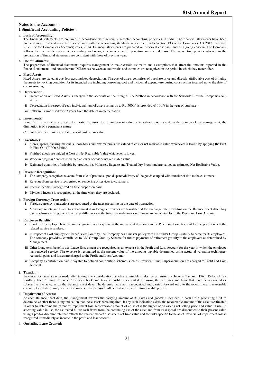#### Notes to the Accounts :

#### **1 Significant Accounting Policies :**

#### **a. Basis of Accounting:**

The financial statements are prepared in accordance with generally accepted accounting principles in India. The financial statements have been prepared in all material respects in accordance with the accounting standards as specified under Section 133 of the Companies Act 2013 read with Rule 7 of the Companies (Accounts) rules, 2014. Financial statements are prepared on historical cost basis and as a going concern. The Company follows the mercantile system of accounting and recognizes income and expenditure on accrual basis. The accounting policies adopted in the preparation of financial statements are consistent with those of previous year.

#### **b. Use of Estimates:**

The preparation of financial statements requires management to make certain estimates and assumptions that affect the amounts reported in the financial statements and notes thereto. Differences between actual results and estimates are recognized in the period in which they materialize.

#### **c. Fixed Assets:**

Fixed Assets are stated at cost less accumulated depreciation. The cost of assets comprises of purchase price and directly attributable cost of bringing the assets to working condition for its intended use including borrowing cost and incidental expenditure during construction incurred up to the date of commissioning.

#### **d. Depreciation:**

- i Depreciation on Fixed Assets is charged in the accounts on the Straight Line Method in accordance with the Schedule II of the Companies Act, 2013.
- ii Depreciation in respect of each individual item of asset costing up to Rs. 5000/- is provided  $@100\%$  in the year of purchase.
- iii Software is amortised over 3 years from the date of implementation.

#### **e. Investments:**

Long Term Investments are valued at costs. Provision for diminution in value of investments is made if, in the opinion of the management, the diminution is of a permanent nature.

Current Investments are valued at lower of cost or fair value.

#### **f. Inventories:**

- i Stores, spares, packing materials, loose tools and raw materials are valued at cost or net realisable value whichever is lower, by applying the First In First Out (FIFO) Method.
- ii Finished goods are valued at Cost or Net Realisable Value whichever is lower.
- iii Work in progress / process is valued at lower of cost or net realisable value.
- iv Estimated quantities of saleable by-products i.e. Molasses, Bagasse and Treated Dry Press mud are valued at estimated Net Realisable Value.

#### **g. Revenue Recognition:**

- i The company recognizes revenue from sale of products upon dispatch/delivery of the goods coupled with transfer of title to the customers.
- ii Revenue from service is recognized on rendering of services to customers.
- iii Interest Income is recognized on time proportion basis.
- iv Dividend Income is recognized, at the time when they are declared.

#### **h. Foreign Currency Transaction:**

- i Foreign currency transactions are accounted at the rates prevailing on the date of transaction.
- ii Monetary Assets and Liabilities denominated in foreign currencies are translated at the exchange rate prevailing on the Balance Sheet date. Any gains or losses arising due to exchange differences at the time of translation or settlement are accounted for in the Profit and Loss Account.

#### **i. Employee Benefits:**

- i Short Term employee benefits are recognized as an expense at the undiscounted amount in the Profit and Loss Account for the year in which the related service is rendered.
- ii In respect of Post employment benefits viz. Gratuity, the Company has a master policy with LIC under Group Gratuity Scheme for its employees. The company provides / contributes to LIC Group Gratuity Scheme for future payments of retirement gratuity to the employees as determined by Management.
- iii Other Long term benefits viz. Leave Encashment are recognised as an expense in the Profit and Loss Account for the year in which the employee has rendered service. The expense is recongised at the present value of the amounts payable determined using actuarial valuation techniques. Actuarial gains and losses are charged to the Profit and Loss Account.
- iv Company's contribution paid / payable to defined contribution schemes such as Provident Fund, Superannuation are charged to Profit and Loss Account.

#### **j. Taxation:**

Provision for current tax is made after taking into consideration benefits admissible under the provisions of Income Tax Act, 1961. Deferred Tax resulting from "timing difference" between book and taxable profit is accounted for using the tax rates and laws that have been enacted or substantively enacted as on the Balance Sheet date. The deferred tax asset is recognized and carried forward only to the extent there is reasonable certainty / virtual certainty, as the case may be, that the asset will be realized against future taxable profits.

#### **k. Impairment of Assets:**

At each Balance sheet date, the management reviews the carrying amount of its assets and goodwill included in each Cash generating Unit to determine whether there is any indication that those assets were impaired. If any such indication exists, the recoverable amount of the asset is estimated in order to determine the extent of impairment loss. Recoverable amount of an asset is the higher of an asset's net selling price and value in use. In assessing value in use, the estimated future cash flows from the continuing use of the asset and from its disposal are discounted to their present value using a pre-tax discount rate that reflects the current market assessments of time value and the risks specific to the asset. Reversal of impairment loss is recognized immediately as income in the profit and loss account.

#### **l. Operating Lease Granted:**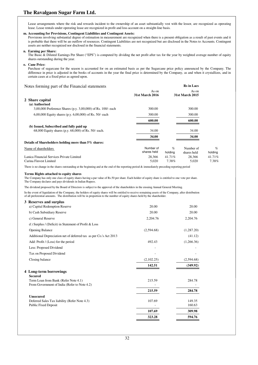Lease arrangements where the risk and rewards incident to the ownership of an asset substantially vest with the lessor, are recognized as operating lease. Lease rentals under operating lease are recognized in profit and loss account on a straight-line basis.

#### **m. Accounting for Provisions, Contingent Liabilities and Contingent Assets:**

Provisions involving substantial degree of estimation in measurement are recognized when there is a present obligation as a result of past events and it is probable that there will be an outflow of resources. Contingent Liabilities are not recognized but are disclosed in the Notes to Accounts. Contingent assets are neither recognized nor disclosed in the financial statements.

#### **n. Earning per Share:**

The Basic & Diluted Earnings Per Share ("EPS") is computed by dividing the net profit after tax for the year by weighted average number of equity shares outstanding during the year.

#### **o. Cane Price:**

Purchase of sugarcane for the season is accounted for on an estimated basis as per the Sugarcane price policy announced by the Company. The difference in price is adjusted in the books of accounts in the year the final price is determined by the Company, as and when it crystallizes, and in certain cases at a fixed price as agreed upon.

Notes forming part of the Financial statements **Rs** in Lacs

|                                                              | As on                  |         | As on           |         |
|--------------------------------------------------------------|------------------------|---------|-----------------|---------|
|                                                              | <b>31st March 2016</b> |         | 31st March 2015 |         |
| 2 Share capital                                              |                        |         |                 |         |
| (a) Authorised                                               |                        |         |                 |         |
| 3,00,000 Preference Shares (p.y. 3,00,000) of Rs. 100/- each | 300.00                 |         | 300.00          |         |
| 6,00,000 Equity shares (p.y. 6,00,000) of Rs. 50/- each      | 300.00                 |         | 300.00          |         |
|                                                              | 600.00                 |         | 600.00          |         |
| (b) Issued, Subscribed and fully paid up                     |                        |         |                 |         |
| 68,000 Equity shares (p.y. 68,000) of Rs. 50/- each.         | 34.00                  |         | 34.00           |         |
|                                                              | 34.00                  |         | 34.00           |         |
| Details of Shareholders holding more than 5% shares:         |                        |         |                 |         |
| Name of shareholders                                         | Number of              | $\%$    | Number of       | $\%$    |
|                                                              | shares held            | holding | shares held     | holding |
| Lanica Financial Services Private Limited                    | 28.366                 | 41.71%  | 28.366          | 41.71%  |
| Carina Finvest Limited                                       | 5,020                  | 7.38%   | 5,020           | 7.38%   |

There is no change in the shares outstanding at the beginning and at the end of the reporting period & immediately preceding reporting period

#### **Terms Rights attached to equity shares**

The Company has only one class of equity shares having a par value of Rs.50 per share. Each holder of equity share is entitled to one vote per share. The Company declares and pays dividends in Indian Rupees.

The dividend proposed by the Board of Directors is subject to the approval of the shareholders in the ensuing Annual General Meeting.

In the event of liquidation of the Company, the holders of equity shares will be entitled to receive remaining assets of the Company, after distribution of all preferential amounts. The distribution will be in proportion to the number of equity shares held by the shareholder.

| 3 Reserves and surplus                                            |            |            |
|-------------------------------------------------------------------|------------|------------|
| a) Capital Redemption Reserve                                     | 20.00      | 20.00      |
| b) Cash Subsidiary Reserve                                        | 20.00      | 20.00      |
| c) General Reserve                                                | 2,204.76   | 2,204.76   |
| d) Surplus / (Deficit) in Statement of Profit & Loss              |            |            |
| <b>Opening Balance</b>                                            | (2,594.68) | (1,287.20) |
| Additional Depreciation net of deferred tax as per Co.'s Act 2013 |            | (41.12)    |
| Add: Profit / (Loss) for the period                               | 492.43     | (1,266.36) |
| Less: Proposed Dividend                                           |            |            |
| Tax on Proposed Dividend                                          |            |            |
| Closing balance                                                   | (2,102.25) | (2,594.68) |
|                                                                   | 142.51     | (349.92)   |
| 4 Long-term borrowings                                            |            |            |
| <b>Secured</b>                                                    |            |            |
| Term Loan from Bank (Refer Note 4.1)                              | 215.59     | 284.78     |
| From Government of India (Refer to Note 4.2)                      |            |            |
|                                                                   | 215.59     | 284.78     |
| <b>Unsecured</b>                                                  |            |            |
| Deferred Sales Tax liability (Refer Note 4.3)                     | 107.69     | 149.35     |
| <b>Public Fixed Deposit</b>                                       |            | 160.63     |
|                                                                   | 107.69     | 309.98     |
|                                                                   | 323.28     | 594.76     |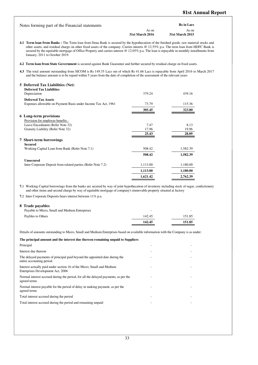| Notes forming part of the Financial statements |                 | <b>Rs</b> in Lacs |
|------------------------------------------------|-----------------|-------------------|
|                                                | As on           | As on             |
|                                                | 31st March 2016 | 31st March 2015   |

**4.1 Term loan from Banks :** The Term loan from Dena Bank is secured by the hypothecation of the finished goods, raw material stocks and other assets; and residual charge on other fixed assets of the company. Carries interets @ 12.55% p.a. The term loan from HDFC Bank is secured by the equitable mortgage of Office Property and carries interest @ 12.05% p.a. The loan is repayable in monthly installments from January, 2011 to October 2019.

**4.2 Term loan from State Government** is secured against Bank Guarantee and further secured by residual charge on fixed assets.

**4.3** The total amount outstanding from SICOM is Rs 149.35 Lacs out of which Rs 41.66 Lacs is repayable from April 2016 to March 2017 and the balance amount is to be repaid within 5 years from the date of completion of the assessment of the relevant years

| 5 Deferred Tax Liabilities (Net)                               |          |          |
|----------------------------------------------------------------|----------|----------|
| <b>Deferred Tax Liabilities</b>                                |          |          |
| Depreciation                                                   | 379.24   | 439.16   |
| <b>Deferred Tax Assets</b>                                     |          |          |
| Expenses allowable on Payment Basis under Income Tax Act, 1961 | 73.79    | 115.36   |
|                                                                | 305.45   | 323.80   |
| <b>6</b> Long-term provisions                                  |          |          |
| Provision for employee benefits:                               |          |          |
| Leave Encashment (Refer Note 32)                               | 7.47     | 8.13     |
| Gratuity Liability (Refer Note 32)                             | 17.96    | 19.96    |
|                                                                | 25.43    | 28.09    |
| <b>7</b> Short-term borrowings                                 |          |          |
| Secured                                                        |          |          |
| Working Capital Loan from Bank (Refer Note 7.1)                | 508.42   | 1,582.39 |
|                                                                | 508.42   | 1,582.39 |
| <b>Unsecured</b>                                               |          |          |
| Inter Corporate Deposit from related parties (Refer Note 7.2)  | 1,113.00 | 1,180.00 |
|                                                                | 1,113.00 | 1,180.00 |
|                                                                | 1,621.42 | 2,762.39 |

**7.**1 Working Capital borrowings from the banks are secured by way of joint hypothecation of inventory including stock of sugar, confectionery and other items and second charge by way of equitable mortgage of company's immovable property situated at factory

**7.**2 Inter Corporate Deposits bears interest between 11% p.a.

#### **8 Trade payables**

|                                                | 142.45 | 151.85 |
|------------------------------------------------|--------|--------|
| Paybles to Others                              | 142.45 | 151.85 |
| Payable to Micro, Small and Medium Enterprises | -      | -      |

Details of amounts outstanding to Micro, Small and Medium Enterprises based on available information with the Company is as under:

#### **The principal amount and the interest due thereon remaining unpaid to Suppliers** Principal and the contract of the contract of the contract of the contract of the contract of the contract of the contract of the contract of the contract of the contract of the contract of the contract of the contract of Interest due thereon The delayed payments of principal paid beyond the appointed date during the entire accounting period - - - - - - - - - - - - - - - -Interest actually paid under section 16 of the Micro, Small and Medium Enterprises Development Act, 2006 and the second control of the second Normal interest accrued during the period, for all the delayed payments, as per the agreed terms and the second control of the second Normal interest payable for the period of delay in making payment, as per the agreed terms - - - - - - - - - - - - - - - - - -Total interest accrued during the period Total interest accrued during the period and remaining unpaid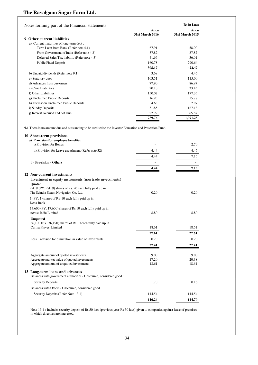| Notes forming part of the Financial statements |                 | <b>Rs</b> in Lacs |
|------------------------------------------------|-----------------|-------------------|
|                                                | As on           | As on             |
|                                                | 31st March 2016 | 31st March 2015   |
| Other current liabilities<br>9                 |                 |                   |
| a) Current maturities of long-term debt :      |                 |                   |
| Term Loan from Bank (Refer note 4.1)           | 67.91           | 58.00             |
| From Government of India (Refer note 4.2)      | 37.82           | 37.82             |
| Deferred Sales Tax liability (Refer note 4.3)  | 41.66           | 36.01             |
| Public Fixed Deposit                           | 160.78          | 290.64            |
|                                                | 308.17          | 422.47            |
| b) Unpaid dividends (Refer note 9.1)           | 3.68            | 4.46              |
| c) Statutory dues                              | 103.51          | 115.00            |
| d) Advances from customers                     | 77.90           | 86.97             |
| e) Cane Liabilities                            | 20.10           | 33.43             |
| f) Other Liabilities                           | 150.02          | 177.35            |
| g) Unclaimed Public Deposits                   | 16.93           | 15.78             |
| h) Interest on Unclaimed Public Deposits       | 4.68            | 2.97              |
| i) Sundry Deposits                             | 51.85           | 167.18            |
| i) Interest Accrued and not Due                | 22.92           | 65.67             |
|                                                | 759.76          | 1,091.28          |

**9.1** There is no amount due and outstanding to be credited to the Investor Education and Protection Fund.

### **10 Short-term provisions a) Provision for employee benefits:** i) Provision for Bonus 2.70 ii) Provision for Leave encashment (Refer note 32) 4.44 4.45 4.44 7.15 **b) Provision - Others** - - **4.44 7.15 12 Non-current investments** Investment in equity instruments (non trade invetsments) **Quoted** 2,419 (PY: 2,419) shares of Rs. 20 each fully paid up in The Scindia Steam Navigation Co. Ltd. 0.20 0.20 1 (PY: 1) shares of Rs. 10 each fully paid up in Dena Bank 17,600 (PY: 17,600) shares of Rs 10 each fully paid up in Acrow India Limited 8.80 8.80 **Unquoted** 36,190 (PY: 36,190) shares of Rs.10 each fully paid up in Carina Finvest Limited 18.61 18.61 18.61 18.61 **27.61 27.61** Less: Provision for diminution in value of investments 0.20 0.20 0.20 0.20 0.20 **27.41 27.41** Aggregate amount of quoted investments and the set of and the set of and the set of and the set of and the set of an extreme of an extreme of an extreme of an extreme of an extreme of an extreme of an extreme of an extreme Aggregate market value of quoted investments Aggregate amount of unquoted investments 18.61 18.61 18.61 18.61 **13 Long-term loans and advances** Balances with government authorities - Unsecured, considered good : Security Deposits 1.70 0.16 Balances with Others - Unsecured, considered good : Security Deposits (Refer Note 13.1) 114.54 114.54 114.54 114.54 **116.24 114.70**

Note 13.1 : Includes security deposit of Rs 50 lacs (previous year Rs 50 lacs) given to companies against lease of premises in which directors are interested.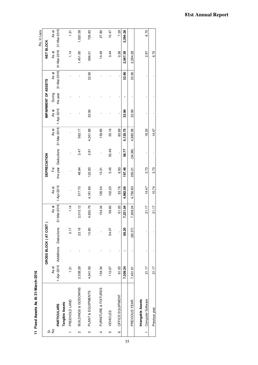11 Fixed Assets As At 31-March-2016 **11 Fixed Assets As At 31-March-2016**

|                   |                                        |                     |                       |                      |                     |                     |                     |                      |                     |                      |                            |                      | Rs. In Lacs          |
|-------------------|----------------------------------------|---------------------|-----------------------|----------------------|---------------------|---------------------|---------------------|----------------------|---------------------|----------------------|----------------------------|----------------------|----------------------|
|                   |                                        |                     | GROSS BLOCK (AT COST) |                      |                     | <b>DEPRECIATION</b> |                     |                      |                     | IMPAIRMENT OF ASSETS |                            | NET BLOCK            |                      |
| ີທີ່ <del>2</del> | <b>PARTICULARS</b>                     | 1-Apr-2015<br>As at | Additions Deductions  | 31-Mar-2016<br>As at | 1-Apr-2015<br>As at | For                 | the year Deductions | 31-Mar-2016<br>As at | 1-Apr-2015<br>As at | the year<br>During   | $31 - Max - 2016$<br>As at | 31-Mar-2016<br>As at | 31-Mar-2015<br>As at |
|                   | Tangible Assets                        |                     |                       |                      |                     |                     |                     |                      |                     |                      |                            |                      |                      |
|                   | FREEHOLD LAND                          | $\frac{5}{1}$       | 0.17                  | 1.14                 |                     |                     |                     |                      |                     |                      |                            | 1.14                 | 1.31                 |
| N                 | BUILDINGS & GODOWNS                    | 2,038.28            | 23.16                 | 2,015.12             | 517.70              | 48.94               | 3.47                | 563.17               |                     |                      |                            | 1,451.95             | 1,520.58             |
| ო                 | PLANT & EQUIPMENTS                     | 4,941.59            | 10.80                 | 4,930.79             | 4,181.86            | 122.83              | 2.81                | 4,301.88             | 32.90               |                      | 32.90                      | 596.01               | 726.83               |
| 4                 | FURNITURE & FIXTURES                   | 154.34              |                       | 154.34               | 126.54              | 13.31               |                     | 139.85               |                     |                      |                            | 14.49                | 27.80                |
| 5                 | <b>VEHICLES</b>                        | 112.67              | 54.07                 | 58.60                | 102.20              | 5.45                | 52.49               | 55.16                |                     |                      |                            | 3.44                 | 10.47                |
| ဖ                 | OFFICE EQUIPMENT                       | 61.05               |                       | 61.05                | 53.76               | 6.93                |                     | 60.69                |                     |                      |                            | 0.36                 | 7.29                 |
|                   |                                        | 7,309.24            | 88.20                 | 7,221.04             | 4,982.06            | 197.46              | 58.77               | 5,120.75             | 32.90               |                      | 32.90                      | 2,067.39             | 2,294.28             |
|                   | PREVIOUS YEAR                          | 7,401.61            | (92.37)               | 7,309.24             | 4,756.83            | 260.21              | (34.98)             | 4,982.06             | 32.90               |                      | 32.90                      | 2,294.28             |                      |
|                   | Computer Software<br>Intangable Assets | 21.17               |                       | 21.17                | 14.47               | 3.73                |                     | 18.20                |                     |                      |                            | 2.97                 | 6.70                 |
|                   | Previous year                          | 21.17               |                       | 21.17                | 10.74               | 3.73                |                     | 14.47                |                     |                      |                            | 6.70                 |                      |
|                   |                                        |                     |                       |                      |                     |                     |                     |                      |                     |                      |                            |                      |                      |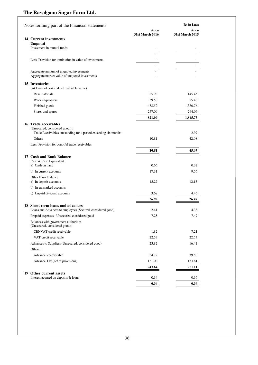| Notes forming part of the Financial statements                        |                 | <b>Rs</b> in Lacs |
|-----------------------------------------------------------------------|-----------------|-------------------|
|                                                                       | As on           | As on             |
|                                                                       | 31st March 2016 | 31st March 2015   |
| 14 Current investments<br><b>Unquoted</b>                             |                 |                   |
| Investment in mutual funds                                            |                 |                   |
|                                                                       |                 |                   |
| Less: Provision for diminution in value of investments                |                 |                   |
|                                                                       |                 |                   |
| Aggregate amount of unquoted investments                              |                 |                   |
| Aggregate market value of unquoted investments                        |                 |                   |
| 15 Inventories                                                        |                 |                   |
| (At lower of cost and net realisable value)                           |                 |                   |
| Raw materials                                                         | 85.98           | 145.45            |
| Work-in-progress                                                      | 39.50           | 55.46             |
| Finished goods                                                        | 438.52          | 1,380.76          |
| Stores and spares                                                     | 257.09          | 264.06            |
|                                                                       | 821.09          | 1,845.73          |
| 16 Trade receivables                                                  |                 |                   |
| (Unsecured, considered good):                                         |                 |                   |
| Trade Receivables outstanding for a period exceeding six months       |                 | 2.99              |
| Others                                                                | 10.81           | 42.08             |
| Less: Provision for doubtful trade receivables                        |                 |                   |
|                                                                       | 10.81           | 45.07             |
| 17 Cash and Bank Balance<br>Cash & Cash Equivalent                    |                 |                   |
| a) Cash on hand                                                       | 0.66            | 0.32              |
| b) In current accounts                                                | 17.31           | 9.56              |
| Other Bank Balance                                                    |                 |                   |
| a) In deposit accounts                                                | 15.27           | 12.15             |
| b) In earmarked accounts                                              |                 |                   |
| c) Unpaid dividend accounts                                           | 3.68            | 4.46              |
|                                                                       | 36.92           | 26.49             |
| 18 Short-term loans and advances                                      |                 |                   |
| Loans and Advances to employees (Secured, considered good)            | 2.41            | 4.38              |
| Prepaid expenses - Unsecured, considered good                         | 7.28            | 7.47              |
| Balances with government authorities<br>(Unsecured, considered good): |                 |                   |
| CENVAT credit receivable                                              | 1.82            | 7.21              |
| VAT credit receivable                                                 | 22.53           | 22.53             |
| Advances to Suppliers (Unsecured, considered good)                    | 23.82           | 16.41             |
| Others:                                                               |                 |                   |
| <b>Advance Recoverable</b>                                            | 54.72           | 39.50             |
| Advance Tax (net of provisions)                                       | 131.06          | 153.61            |
|                                                                       | 243.64          | 251.11            |
|                                                                       |                 |                   |
| 19 Other current assets<br>Interest accrued on deposits & loans       | 0.34            | 0.36              |
|                                                                       | 0.34            | 0.36              |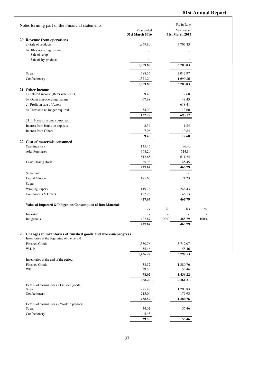| Notes forming part of the Financial statements                   |                  |         | <b>Rs</b> in Lacs  |         |
|------------------------------------------------------------------|------------------|---------|--------------------|---------|
|                                                                  | Year ended       |         | Year ended         |         |
|                                                                  | 31st March 2016  |         | 31st March 2015    |         |
| 20 Revenue from operations                                       |                  |         |                    |         |
| a) Sale of products                                              | 1,959.80         |         | 3,703.83           |         |
| b) Other operating revenue :                                     |                  |         |                    |         |
| Sale of scrap                                                    |                  |         |                    |         |
| Sale of By-products                                              | 1,959.80         |         | 3,703.83           |         |
|                                                                  |                  |         |                    |         |
| Sugar                                                            | 588.56           |         | 2,012.97           |         |
| Confectionary                                                    | 1,371.24         |         | 1,690.86           |         |
|                                                                  | 1,959.80         |         | 3,703.83           |         |
| 21 Other income                                                  |                  |         |                    |         |
| a) Interest income (Refer note 21.1)                             | 9.40             |         | 12.68              |         |
| b) Other non-operating income                                    | 67.98            |         | 48.43              |         |
| c) Profit on sale of Assets                                      |                  |         | 618.41             |         |
| d) Provision no longer required                                  | 54.90            |         | 13.60              |         |
|                                                                  | 132.28           |         | 693.12             |         |
| 21.1 Interest income comprises :                                 |                  |         |                    |         |
| Interest from banks on deposits                                  | 2.34             |         | 1.84               |         |
| Interest from Others                                             | 7.06             |         | 10.84              |         |
|                                                                  | 9.40             |         | 12.68              |         |
| 22 Cost of materials consumed<br>Opening stock                   | 145.45           |         | 96.40              |         |
| Add: Purchases                                                   | 368.20           |         | 514.84             |         |
|                                                                  | 513.65           |         | 611.24             |         |
| Less: Closing stock                                              | 85.98            |         | 145.45             |         |
|                                                                  | 427.67           |         | 465.79             |         |
| Sugarcane                                                        |                  |         |                    |         |
| Liquid Glucose                                                   | 125.65           |         | 171.23             |         |
| Sugar                                                            |                  |         |                    |         |
| <b>Wraping Papers</b>                                            | 119.76           |         | 248.43             |         |
| Components & Others                                              | 182.26           |         | 46.13              |         |
|                                                                  | 427.67           |         | 465.79             |         |
| Value of Imported & Indigenous Consumption of Raw Materials      |                  |         |                    |         |
|                                                                  | Rs.              | $\%$    | Rs.                | $\%$    |
| Imported                                                         |                  |         |                    |         |
| Indigenous                                                       | 427.67           | $100\%$ | 465.79             | $100\%$ |
|                                                                  | 427.67           |         | 465.79             |         |
| 23 Changes in inventories of finished goods and work-in-progress |                  |         |                    |         |
| Inventories at the beginning of the period                       |                  |         |                    |         |
| Finished Goods                                                   | 1,380.76         |         | 3,742.07           |         |
| W.I. P.                                                          | 55.46            |         | 55.46              |         |
|                                                                  | 1,436.22         |         | 3,797.53           |         |
| Inventories at the end of the period                             |                  |         |                    |         |
| Finished Goods                                                   | 438.52           |         | 1,380.76           |         |
| <b>WIP</b>                                                       | 39.50            |         | 55.46              |         |
|                                                                  | 478.02           |         | 1,436.22           |         |
|                                                                  | 958.20           |         | 2,361.31           |         |
| Details of closing stock - Finished goods                        |                  |         |                    |         |
| Sugar<br>Confectionery                                           | 225.48<br>213.04 |         | 1,203.83<br>176.93 |         |
|                                                                  | 438.52           |         | 1,380.76           |         |
| Details of closing stock - Work in progress                      |                  |         |                    |         |
| Sugar                                                            | 34.02            |         | 55.46              |         |
| Confectionery                                                    | 5.48             |         |                    |         |
|                                                                  | 39.50            |         | 55.46              |         |
|                                                                  |                  |         |                    |         |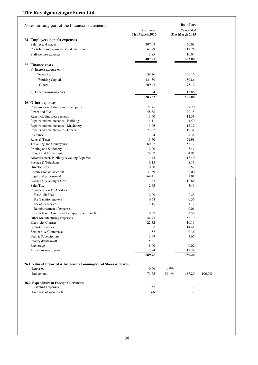| Notes forming part of the Financial statements                     |                               | <b>Rs</b> in Lacs             |        |
|--------------------------------------------------------------------|-------------------------------|-------------------------------|--------|
|                                                                    | Year ended<br>31st March 2016 | Year ended<br>31st March 2015 |        |
| 24 Employees benefit expenses                                      |                               |                               |        |
| Salaries and wages                                                 | 407.07                        | 470.08                        |        |
| Contributions to provident and other funds                         | 62.99                         | 112.76                        |        |
| Staff welfare expenses                                             | 12.85                         | 10.04                         |        |
|                                                                    | 482.91                        | 592.88                        |        |
| 25 Finance costs                                                   |                               |                               |        |
| a) Interest expense on:                                            |                               |                               |        |
| i. Term Loan                                                       | 39.26                         | 136.16                        |        |
| ii. Working Capital                                                | 121.30                        | 180.86                        |        |
|                                                                    |                               |                               |        |
| iii. Others                                                        | 209.43                        | 175.12                        |        |
| b) Other borrowing costs                                           | 13.84                         | 13.86                         |        |
|                                                                    | 383.83                        | 506.00                        |        |
|                                                                    |                               |                               |        |
| 26 Other expenses<br>Consumption of stores and spare parts         | 71.75                         | 187.20                        |        |
| Power and Fuel                                                     | 58.88                         | 90.15                         |        |
| Rent including Lease rentals                                       | 13.60                         | 12.51                         |        |
| Repairs and maintenance - Buildings                                | 4.11                          | 4.59                          |        |
| Repairs and maintenance - Machinery                                | 3.06                          | 12.32                         |        |
|                                                                    | 23.87                         | 19.31                         |        |
| Repairs and maintenance - Others<br>Insurance                      |                               | 7.38                          |        |
|                                                                    | 7.04                          |                               |        |
| Rates & Taxes                                                      | 13.70                         | 71.98                         |        |
| <b>Travelling and Conveyance</b>                                   | 60.22                         | 58.17                         |        |
| Printing and Stationery                                            | 2.00                          | 3.41                          |        |
| Freight and Forwarding                                             | 74.52                         | 104.91<br>18.40               |        |
| Advertisement, Publicity & Selling Expenses                        | 11.45                         | 8.11                          |        |
| Postage & Telephone<br>Director Fees                               | 6.15                          | 0.52                          |        |
| Commission & Discount                                              | 0.60                          |                               |        |
|                                                                    | 37.39                         | 32.00                         |        |
| Legal and professional                                             | 69.41                         | 31.01                         |        |
| Excise Duty & Sugar Cess                                           | 7.63                          | 10.81                         |        |
| Sales Tax                                                          | 2.43                          | 3.43                          |        |
| Remuneration To Auditors:                                          |                               |                               |        |
| For Audit Fees<br>For Taxation matters                             | 2.29                          | 2.25                          |        |
|                                                                    | 0.58                          | 0.56                          |        |
| For other services                                                 | 1.15                          | 1.12                          |        |
| Reimbursement of expenses                                          |                               | 0.01                          |        |
| Loss on Fixed Assets sold / scrapped / written off                 | 0.57                          | 2.50                          |        |
| Other Manufacturing Expenses                                       | 44.95                         | 56.19                         |        |
| <b>Electricity Charges</b>                                         | 22.32                         | 10.13                         |        |
| <b>Security Services</b>                                           | 13.37                         | 14.41                         |        |
| Seminars & Conference                                              | 1.57                          | 0.36                          |        |
| Fees & Subscriptions                                               | 3.99                          | 3.65                          |        |
| Sundry debits w/off                                                | 5.31                          |                               |        |
| <b>Brokerage</b>                                                   | 8.00                          | 0.02                          |        |
| Miscellaneous expenses                                             | 17.84                         | 12.79                         |        |
|                                                                    | 589.75                        | 780.20                        |        |
| 26.1 Value of Imported & Indigenous Consumption of Stores & Spares |                               |                               |        |
| Imported                                                           | 0.66                          | 0.9%                          |        |
| Indigenous                                                         | 71.75                         | 187.20<br>99.1%               | 100.0% |
| 26.2 Expenditure in Foreign Currencies                             |                               |                               |        |
| <b>Traveling Expenses</b>                                          | 0.72                          |                               |        |
| Purchase of spare parts                                            | 0.66                          |                               |        |
|                                                                    |                               |                               |        |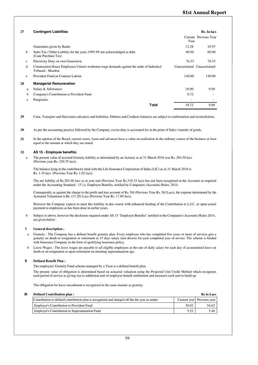## **81st Annual Report**

| 27           | <b>Contingent Liabilities</b>                                                                                  |                             | Rs. In lacs           |
|--------------|----------------------------------------------------------------------------------------------------------------|-----------------------------|-----------------------|
|              |                                                                                                                | Year                        | Current Previous Year |
|              | Guarantees given by Banks                                                                                      | 12.28                       | 45.97                 |
| h            | Sales Tax / Other Liability for the years 1995-99 not acknowledged as debt.<br>(Cane Purchase Tax)             | 60.90                       | 60.90                 |
| $\mathbf{c}$ | Electricity Duty on own Generation                                                                             | 76.33                       | 76.33                 |
| d            | Construction House Employees Union's workmen wage demands against the order of Industiral<br>Tribunal - Mumbai | Unascertained Unascertained |                       |
| e            | Provident Fund on Contract Labour                                                                              | 140.00                      | 140.00                |
| 28           | <b>Managerial Remuneration</b>                                                                                 |                             |                       |
| a            | Salary & Allowances                                                                                            | 18.00                       | 9.00                  |
| b            | Company's Contribution to Provident Fund                                                                       | 0.72                        | ۰                     |
| $\mathbf{c}$ | Perquisites                                                                                                    | $\overline{\phantom{a}}$    |                       |
|              | <b>Total</b>                                                                                                   | 18.72                       | 9.00                  |

 **29** Cane, Transport and Harvesters advances and liabilities, Debtors and Creditors balances are subject to confirmation and reconciliation.

 **30** As per the accounting practice followed by the Company, excise duty is accounted for at the point of Sales / transfer of goods.

 **31** In the opinion of the Board, current assets, loans and advances have a value on realisation in the ordinary course of the business at least equal to the amount at which they are stated.

#### **32 AS 15 - Employee benefits:**

a The present value of accrued Gratuity liability as determined by an Actuary as at 31 March 2016 was Rs. 284.50 lacs (Previous year Rs. 320.35 lacs).

The balance lying in the contributory fund with the Life Insurance Corporation of India (LIC) as at 31 March 2016 is Rs. 1.10 lacs (Previous Year Rs. 1.02 lacs).

The net liability of Rs.283.40 lacs as at year end (Previous Year Rs.319.33 lacs) has not been recognised in the Accounts as required under the Accounting Standard - 15 i.e. Employee Benefits, notified by Companies (Accounts) Rules, 2014.

Consequently as against the charge to the profit and loss account of Rs. Nil (Previous Year Rs. Nil Lacs), the expense determined by the Actuarial Valuatiuon is Rs. (17.20) Lacs (Previous Year Rs. 17.89 lacs).

However the Company expects to meet this liability in due course with enhanced funding of the Contribution to L.I.C. or upon actual payment to employees as has been done in earlier years.

b Subject to above, however the disclosure required under AS 15 "Employee Benefits" notified in the Companies (Accounts) Rules 2014, are given below:

#### **I General description :**

- a Gratuity : The Company has a defined benefit gratuity plan. Every employee who has completed five years or more of services gets a gratuity on death or resignation or retirement at 15 days salary (last drawn) for each completed year of service. The scheme is funded with Insurance Company in the form of qualifying insurance policy.
- b Leave Wages : The leave wages are payable to all eligible employees at the rate of daily salary for each day of accumulated leave on death or on resignation or upon retirement on attaining superannuation age.

#### **II Defined Benefit Plan :**

The employees' Gratuity Fund scheme managed by a Trust is a defined beneift plan.

The present value of obligation is determined based on actuarial valuation using the Projected Unit Credit Method which recognizes each period of service as giving rise to additional unit of employee benefit entitlement and measures each unit to build up

The obligation for leave encashment is recognized in the same manner as gratuity.

| Ш | Defined Contribution plan:                                                                     |       | <b>Rs</b> in Lacs          |
|---|------------------------------------------------------------------------------------------------|-------|----------------------------|
|   | Contribution to defined contribution plan is recognized and charged off the the year as under: |       | Current year Previous year |
|   | <b>Employer's Contribution to Provident Fund</b>                                               | 39.02 | 54.62                      |
|   | Employer's Contribution to Superannuation Fund                                                 | 5.22  | 5.48                       |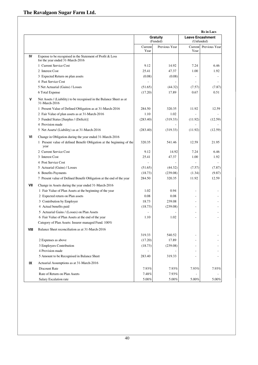|      |                                                                                                |                 |                      |                 | <b>Rs</b> in Lacs                     |
|------|------------------------------------------------------------------------------------------------|-----------------|----------------------|-----------------|---------------------------------------|
|      |                                                                                                |                 | Gratuity<br>(Funded) |                 | <b>Leave Encashment</b><br>(Unfunded) |
|      |                                                                                                | Current<br>Year | Previous Year        | Current<br>Year | Previous Year                         |
| IV   | Expense to be recognised in the Statement of Profit & Loss<br>for the year ended 31-March-2016 |                 |                      |                 |                                       |
|      | 1 Current Service Cost                                                                         | 9.12            | 14.92                | 7.24            | 6.46                                  |
|      | 2 Interest Cost                                                                                | 25.41           | 47.37                | 1.00            | 1.92                                  |
|      | 3 Expected Return on plan assets                                                               | (0.08)          | (0.08)               |                 |                                       |
|      | 4 Past Service Cost                                                                            |                 |                      |                 |                                       |
|      | 5 Net Actuarial (Gains) / Losses                                                               | (51.65)         | (44.32)              | (7.57)          | (7.87)                                |
|      | 6 Total Expense                                                                                | (17.20)         | 17.89                | 0.67            | 0.51                                  |
| ٧    | Net Assets / (Liability) to be recognised in the Balance Sheet as at<br>31-March-2016          |                 |                      |                 |                                       |
|      | 1 Present Value of Defined Obligation as at 31-March-2016                                      | 284.50          | 320.35               | 11.92           | 12.59                                 |
|      | 2 Fair Value of plan assets as at 31-March-2016                                                | 1.10            | 1.02                 |                 |                                       |
|      | 3 Funded Status [Surplus / (Deficit)]                                                          | (283.40)        | (319.33)             | (11.92)         | (12.59)                               |
|      | 4 Provision made                                                                               |                 |                      |                 |                                       |
|      | 5 Net Assets/ (Liability) as at 31-March-2016                                                  | (283.40)        | (319.33)             | (11.92)         | (12.59)                               |
| ٧I   | Change in Obligation during the year ended 31-March-2016                                       |                 |                      |                 |                                       |
|      | 1 Present value of defined Benefit Obligation at the beginning of the<br>year                  | 320.35          | 541.46               | 12.59           | 21.95                                 |
|      | 2 Current Service Cost                                                                         | 9.12            | 14.92                | 7.24            | 6.46                                  |
|      | 3 Interest Cost                                                                                | 25.41           | 47.37                | 1.00            | 1.92                                  |
|      | 4 Post Service Cost                                                                            |                 | ۰                    | ÷,              | $\overline{\phantom{a}}$              |
|      | 5 Actuarial (Gains) / Losses                                                                   | (51.65)         | (44.32)              | (7.57)          | (7.87)                                |
|      | 6 Benefits Payments                                                                            | (18.73)         | (239.08)             | (1.34)          | (9.87)                                |
|      | 7 Present value of Defined Benefit Obligation at the end of the year                           | 284.50          | 320.35               | 11.92           | 12.59                                 |
| VII  | Change in Assets during the year ended 31-March-2016                                           |                 |                      |                 |                                       |
|      | 1 Fair Value of Plan Assets at the beginning of the year                                       | 1.02            | 0.94                 |                 |                                       |
|      | 2 Expected return on Plan assets                                                               | 0.08            | 0.08                 |                 |                                       |
|      | 3 Contribution by Employer                                                                     | 18.73           | 239.08               |                 |                                       |
|      | 4 Actual benefits paid                                                                         | (18.73)         | (239.08)             |                 |                                       |
|      | 5 Actuarial Gains / (Losses) on Plan Assets                                                    |                 |                      |                 |                                       |
|      | 6 Fair Value of Plan Assets at the end of the year                                             | 1.10            | 1.02                 |                 |                                       |
|      | Category of Plan Assets: Insurer managed Fund. 100%                                            |                 |                      |                 |                                       |
| VIII | Balance Sheet reconciliation as at 31-March-2016                                               |                 |                      |                 |                                       |
|      |                                                                                                | 319.33          | 540.52               |                 |                                       |
|      | 2 Expenses as above                                                                            | (17.20)         | 17.89                |                 |                                       |
|      | 3 Employers Contribution                                                                       | (18.73)         | (239.08)             |                 |                                       |
|      | 4 Provision made                                                                               |                 |                      |                 |                                       |
|      | 5 Amount to be Recognised in Balance Sheet                                                     | 283.40          | 319.33               |                 |                                       |
| IX   | Actuarial Assumptions as at 31-March-2016                                                      |                 |                      |                 |                                       |
|      | Discount Rate                                                                                  | 7.93%           | 7.93%                | 7.93%           | 7.93%                                 |
|      | Rate of Return on Plan Aseets                                                                  | 7.48%           | 7.93%                |                 |                                       |
|      | Salary Escalation rate                                                                         | $5.00\%$        | $5.00\%$             | $5.00\%$        | $5.00\%$                              |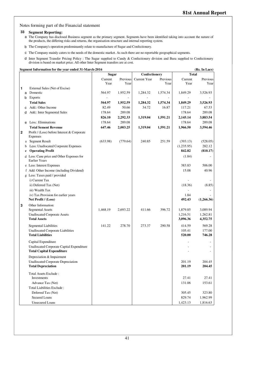Notes forming part of the Financial statement

## **33 Segment Reporting:**

- a The Company has disclosed Business segment as the primary segment. Segments have been identified taking into account the nature of the products, the differing risks and returns, the organisation structure and internal reporting system.
- b The Company's operation predominantly relate to manufacture of Sugar and Confectionery.
- c The Company mainly caters to the needs of the domestic market. As such there are no reportable geographical segments.
- d Inter Segment Transfer Pricing Policy : The Sugar supplied to Candy & Confectionery division and Bura supplied to Confectionery division is based on market price. All other Inter Segment transfers are at cost.

**Segment Information for the year ended 31-March-2016 (Rs. In Lacs)**

|              |   |                                                                   | <b>Sugar</b> |          | Confectionery       |          | <b>Total</b> |            |
|--------------|---|-------------------------------------------------------------------|--------------|----------|---------------------|----------|--------------|------------|
|              |   |                                                                   | Current      | Previous | <b>Current Year</b> | Previous | Current      | Previous   |
|              |   |                                                                   | Year         | Year     |                     | Year     | Year         | Year       |
| 1            |   | External Sales (Net of Excise)                                    |              |          |                     |          |              |            |
|              | a | Domestic                                                          | 564.97       | 1,952.59 | 1,284.32            | 1,574.34 | 1,849.29     | 3,526.93   |
|              | b | <b>Exports</b>                                                    |              |          |                     |          |              |            |
|              |   | <b>Total Sales</b>                                                | 564.97       | 1,952.59 | 1,284.32            | 1,574.34 | 1,849.29     | 3,526.93   |
|              | c | Add.: Other Income                                                | 82.49        | 50.66    | 34.72               | 16.87    | 117.21       | 67.53      |
|              | d | Add.: Inter Segmental Sales                                       | 178.64       | 289.08   |                     |          | 178.64       | 289.08     |
|              |   |                                                                   | 826.10       | 2,292.33 | 1,319.04            | 1,591.21 | 2,145.14     | 3,883.54   |
|              |   | e Less.: Eliminations                                             | 178.64       | 289.08   |                     |          | 178.64       | 289.08     |
|              |   | <b>Total Sement Revenue</b>                                       | 647.46       | 2,003.25 | 1,319.04            | 1,591.21 | 1,966.50     | 3,594.46   |
| $\mathbf{2}$ |   | Profit / (Loss) before Interest & Corporate<br><b>Expenses</b>    |              |          |                     |          |              |            |
|              |   | a Segment Result                                                  | (633.98)     | (779.64) | 240.85              | 251.59   | (393.13)     | (528.05)   |
|              | b | Less: Unallocated Corporate Expenses                              |              |          |                     |          | (1,235.95)   | 282.12     |
|              | c | <b>Operating Profit</b>                                           |              |          |                     |          | 842.82       | (810.17)   |
|              |   | d Less: Cane price and Other Expenses for<br><b>Earlier Years</b> |              |          |                     |          | (1.84)       |            |
|              |   | e Less: Interest Expenses                                         |              |          |                     |          | 383.83       | 506.00     |
|              |   | f Add: Other Income (including Dividend)                          |              |          |                     |          | 15.08        | 40.96      |
|              |   | g Less: Taxes paid / provided                                     |              |          |                     |          |              |            |
|              |   | i) Current Tax                                                    |              |          |                     |          |              |            |
|              |   | ii) Deferred Tax (Net)                                            |              |          |                     |          | (18.36)      | (8.85)     |
|              |   | iii) Wealth Tax                                                   |              |          |                     |          |              |            |
|              |   | iv) Tax Provision for earlier years                               |              |          |                     |          | 1.84         |            |
|              |   | Net Profit / (Loss)                                               |              |          |                     |          | 492.43       | (1,266.36) |
| 3            |   | Other Information:                                                |              |          |                     |          |              |            |
|              |   | <b>Segmental Assets</b>                                           | 1,468.19     | 2,693.22 | 411.66              | 396.72   | 1,879.85     | 3,089.94   |
|              |   | <b>Unallocated Corporate Assets</b>                               |              |          |                     |          | 1,216.51     | 1,262.81   |
|              |   | <b>Total Assets</b>                                               |              |          |                     |          | 3,096.36     | 4,352.75   |
|              |   | <b>Segmental Liabilities</b>                                      | 141.22       | 278.70   | 273.37              | 290.58   | 414.59       | 569.28     |
|              |   | Unallocated Corporate Liabilities                                 |              |          |                     |          | 105.41       | 177.00     |
|              |   | <b>Total Liabilities</b>                                          |              |          |                     |          | 520.00       | 746.28     |
|              |   | Capital Expenditure                                               |              |          |                     |          |              |            |
|              |   | Unallocated Corporate Capital Expenditure                         |              |          |                     |          |              |            |
|              |   | <b>Total Capital Expenditure</b>                                  |              |          |                     |          |              |            |
|              |   | Depreciation & Impairment                                         |              |          |                     |          |              |            |
|              |   | Unallocated Corporate Depreciation                                |              |          |                     |          | 201.19       | 204.45     |
|              |   | <b>Total Depreciation</b>                                         |              |          |                     |          | 201.19       | 204.45     |
|              |   |                                                                   |              |          |                     |          |              |            |
|              |   | Total Assets Exclude:<br>Investments                              |              |          |                     |          | 27.41        | 27.41      |
|              |   | Advance Tax (Net)                                                 |              |          |                     |          | 131.06       | 153.61     |
|              |   | Total Liabilities Exclude:                                        |              |          |                     |          |              |            |
|              |   | Deferred Tax (Net)                                                |              |          |                     |          | 305.45       | 323.80     |
|              |   | <b>Secured Loans</b>                                              |              |          |                     |          | 829.74       | 1,962.99   |
|              |   | <b>Unsecured Loans</b>                                            |              |          |                     |          | 1,423.13     | 1,816.63   |
|              |   |                                                                   |              |          |                     |          |              |            |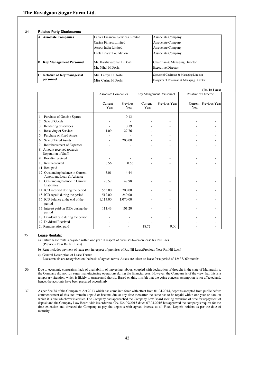#### **34 Related Party Disclosures:**

| A. Associate Companies                     | Lanica Financial Services Limited              | Associate Company                                                                  |
|--------------------------------------------|------------------------------------------------|------------------------------------------------------------------------------------|
|                                            | Carina Finvest Limited                         | <b>Asscociate Company</b>                                                          |
|                                            | Acrow India Limited                            | <b>Asscociate Company</b>                                                          |
|                                            | Leela Bharat Foundation                        | <b>Asscociate Company</b>                                                          |
| <b>B.</b> Key Management Personnel         | Mr. Harshavardhan B Doshi<br>Mr. Nihal H Doshi | Chairman & Managing Director<br><b>Executive Director</b>                          |
| C. Relative of Key managerial<br>personnel | Mrs. Lamya H Doshi<br>Miss Carina H Doshi      | Spouse of Chairman & Managing Director<br>Daughter of Chairman & Managing Director |

|                                                                 |                            |                  |                 |                          |                             | (Rs. In Lacs)         |
|-----------------------------------------------------------------|----------------------------|------------------|-----------------|--------------------------|-----------------------------|-----------------------|
|                                                                 | <b>Associate Companies</b> |                  |                 | Key Mangement Perssonnel | <b>Relative of Director</b> |                       |
|                                                                 | Current<br>Year            | Previous<br>Year | Current<br>Year | Previous Year            | Year                        | Current Previous Year |
| Purchase of Goods / Spares<br>1                                 |                            | 0.13             |                 |                          |                             |                       |
| Sale of Goods<br>2                                              |                            |                  |                 |                          |                             |                       |
| Rendering of services<br>3                                      |                            | 0.19             |                 |                          |                             |                       |
| Receiving of Services<br>4                                      | 1.09                       | 27.76            |                 |                          |                             |                       |
| <b>Purchase of Fixed Assets</b><br>5                            |                            |                  |                 |                          |                             |                       |
| Sale of Fixed Assets<br>6                                       |                            | 200.00           |                 |                          |                             |                       |
| Reimbursement of Expenses<br>7                                  |                            |                  |                 |                          |                             |                       |
| Amount received towards<br>8                                    |                            |                  |                 |                          |                             |                       |
| Deputation of Staff                                             |                            |                  |                 |                          |                             |                       |
| Royalty received<br>9                                           |                            |                  |                 |                          |                             |                       |
| <b>Rent Received</b><br>10                                      | 0.56                       | 0.56             |                 |                          |                             |                       |
| Rent paid<br>11                                                 |                            |                  |                 |                          |                             |                       |
| 12 Outstanding balance in Current<br>Assets, and Loan & Advance | 5.01                       | 4.44             |                 |                          |                             |                       |
| 13 Outstanding balance in Current<br>Liabilities                | 26.57                      | 47.98            |                 |                          |                             |                       |
| 14 ICD received during the period                               | 555.00                     | 700.00           |                 |                          |                             |                       |
| 15 ICD repaid during the period                                 | 512.00                     | 240.00           |                 |                          |                             |                       |
| 16 ICD balance at the end of the<br>period                      | 1,113.00                   | 1,070.00         |                 |                          |                             |                       |
| 17 Interest paid on ICDs during the<br>period                   | 111.43                     | 101.20           |                 |                          |                             |                       |
| 18 Dividend paid during the period                              |                            |                  |                 |                          |                             |                       |
| 19 Dividend Received                                            |                            |                  |                 |                          |                             |                       |
| 20 Remuneration paid                                            |                            |                  | 18.72           | 9.00                     |                             |                       |

#### 35 **Lease Rentals:**

a) Future lease rentals payable within one year in respect of premises taken on lease Rs. Nil Lacs.

(Previous Year Rs. Nil Lacs)

b) Rent includes payment of lease rent in respect of premises of Rs. Nil Lacs.(Previous Year Rs. Nil Lacs)

c) General Description of Lease Terms:

Lease rentals are recognised on the basis of agreed terms. Assets are taken on lease for a period of 12/ 33/ 60 months

 36 Due to economic constraints, lack of availability of harvesting labour, coupled with declaration of drought in the state of Maharashtra, the Company did not run sugar manufacturing operations during the financial year. However, the Company is of the view that this is a temporary situation, which is liklely to turnaround shortly. Based on this, it is felt that the going concern assumption is not affected and, hence, the accounts have been prepared accordingly.

 37 As per Sec.74 of the Companies Act 2013 which has come into force with effect from 01.04.2014, deposits accepted from public before commencement of this Act, remain unpaid or become due at any time thereafter the same has to be repaid within one year or date on which it is due whichever is earlier. The Company had approached the Company Law Board seeking extension of time for repayment of deposit and the Company Law Board vide it's order no. CA. No. 09/2015 dated 07.04.2016 has approved the company's request for the time extension and directed the Company to pay the deposits with agreed interest to all Fixed Deposit holders as per the date of maturity.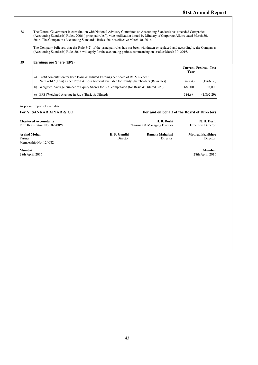38 The Central Government in consultation with National Advisory Committee on Accounting Standards has amended Companies (Accounting Standards) Rules, 2006 (`principal rules'), vide notification issued by Ministry of Corporate Affairs dated March 30, 2016, The Companies (Accounting Standards) Rules, 2016 is effective March 30, 2016.

The Company believes, that the Rule 3(2) of the principal rules has not been withdrawn or replaced and accordingly, the Companies (Accounting Standards) Rule, 2016 will apply for the accounting periods commencing on or after March 30, 2016.

#### **39 Earnings per Share (EPS)**

|    |                                                                                                                                                                                        | Year   | <b>Current Previous Year</b> |
|----|----------------------------------------------------------------------------------------------------------------------------------------------------------------------------------------|--------|------------------------------|
| a) | Profit computation for both Basic & Diluted Earnings per Share of Rs. $50/-$ each :<br>Net Profit / (Loss) as per Profit & Loss Account available for Equity Shareholders (Rs in lacs) | 492.43 | (1266.36)                    |
| h) | Weighted Average number of Equity Shares for EPS computaion (for Basic & Diluted EPS)                                                                                                  | 68.000 | 68,000                       |
| C) | EPS (Weighted Average in Rs.) (Basic & Diluted)                                                                                                                                        | 724.16 | (1.862.29)                   |

#### As per our report of even date

#### **For V. SANKAR AIYAR & CO. For and on behalf of the Board of Directors**

Director

| N. H. Doshi<br><b>Chartered Accountants</b><br>H. B. Doshi<br>Firm Registration No.109208W<br><b>Executive Director</b><br>Chairman & Managing Director | <b>Arvind Mohan</b> | H. P. Gandhi | Ramola Mahajani | <b>Moorad Fazalbhov</b> |
|---------------------------------------------------------------------------------------------------------------------------------------------------------|---------------------|--------------|-----------------|-------------------------|
|                                                                                                                                                         |                     |              |                 |                         |

Director

**Arvind Mohan** Partner Membership No. 124082

**Mumbai Mumbai**  28th April, 2016 28th April, 2016

Director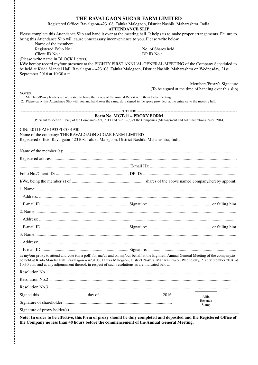| THE RAVALGAON SUGAR FARM LIMITED                                                                                                                                                                                                                                                                                                                                                      |                                                                                   |
|---------------------------------------------------------------------------------------------------------------------------------------------------------------------------------------------------------------------------------------------------------------------------------------------------------------------------------------------------------------------------------------|-----------------------------------------------------------------------------------|
| Registered Office: Ravalgaon-423108, Taluka Malegaon, District Nashik, Maharashtra, India.<br><b>ATTENDANCE SLIP</b>                                                                                                                                                                                                                                                                  |                                                                                   |
| Please complete this Attendance Slip and hand it over at the meeting hall. It helps us to make proper arrangements. Failure to<br>bring this Attendance Slip will cause unnecessary inconvenience to you. Please write below<br>Name of the member:                                                                                                                                   |                                                                                   |
| Registered Folio No.:<br>No. of Shares held:                                                                                                                                                                                                                                                                                                                                          |                                                                                   |
| Client ID No.:<br>DP ID No.:                                                                                                                                                                                                                                                                                                                                                          |                                                                                   |
| (Please write name in BLOCK Letters)<br>I/We hereby record my/our presence at the EIGHTY FIRST ANNUAL GENERAL MEETING of the Company Scheduled to<br>be held at Krida Mandal Hall, Ravalagon - 423108, Taluka Malegaon, District Nashik, Maharashtra on Wednesday, 21st<br>September 2016 at 10:30 a.m.                                                                               |                                                                                   |
|                                                                                                                                                                                                                                                                                                                                                                                       | Members/Proxy's Signature<br>(To be signed at the time of handing over this slip) |
| <b>NOTES:</b><br>1. Members/Proxy holders are requested to bring their copy of the Annual Report with them to the meeting.<br>2. Please carry this Attendance Slip with you and hand over the same, duly signed in the space provided, at the entrance to the meeting hall.                                                                                                           |                                                                                   |
|                                                                                                                                                                                                                                                                                                                                                                                       |                                                                                   |
| Form No. MGT-11 - PROXY FORM<br>[Pursuant to section 105(6) of the Companies Act, 2013 and rule 19(3) of the Companies (Management and Administration) Rules, 2014]                                                                                                                                                                                                                   |                                                                                   |
| CIN: L01110MH1933PLC001930<br>Name of the company: THE RAVALGAON SUGAR FARM LIMITED<br>Registered office: Ravalgaon-423108, Taluka Malegaon, District Nashik, Maharashtra, India.                                                                                                                                                                                                     |                                                                                   |
|                                                                                                                                                                                                                                                                                                                                                                                       |                                                                                   |
|                                                                                                                                                                                                                                                                                                                                                                                       |                                                                                   |
|                                                                                                                                                                                                                                                                                                                                                                                       |                                                                                   |
|                                                                                                                                                                                                                                                                                                                                                                                       |                                                                                   |
|                                                                                                                                                                                                                                                                                                                                                                                       |                                                                                   |
|                                                                                                                                                                                                                                                                                                                                                                                       |                                                                                   |
|                                                                                                                                                                                                                                                                                                                                                                                       |                                                                                   |
|                                                                                                                                                                                                                                                                                                                                                                                       |                                                                                   |
|                                                                                                                                                                                                                                                                                                                                                                                       |                                                                                   |
|                                                                                                                                                                                                                                                                                                                                                                                       |                                                                                   |
|                                                                                                                                                                                                                                                                                                                                                                                       |                                                                                   |
|                                                                                                                                                                                                                                                                                                                                                                                       |                                                                                   |
|                                                                                                                                                                                                                                                                                                                                                                                       |                                                                                   |
|                                                                                                                                                                                                                                                                                                                                                                                       |                                                                                   |
| as my/our proxy to attend and vote (on a poll) for me/us and on my/our behalf at the Eightieth Annual General Meeting of the company, to<br>be held at Krida Mandal Hall, Ravalagon - 423108, Taluka Malegaon, District Nashik, Maharashtra on Wednesday, 21st September 2016 at<br>10:30 a.m. and at any adjournment thereof, in respect of such resolutions as are indicated below: |                                                                                   |
|                                                                                                                                                                                                                                                                                                                                                                                       |                                                                                   |
|                                                                                                                                                                                                                                                                                                                                                                                       |                                                                                   |
|                                                                                                                                                                                                                                                                                                                                                                                       |                                                                                   |
|                                                                                                                                                                                                                                                                                                                                                                                       | Affix                                                                             |
|                                                                                                                                                                                                                                                                                                                                                                                       | Revenue<br>Stamp                                                                  |
|                                                                                                                                                                                                                                                                                                                                                                                       |                                                                                   |
| Note: In order to be effective, this form of proxy should be duly completed and deposited and the Registered Office of<br>the Company no less than 48 hours before the commencement of the Annual General Meeting.                                                                                                                                                                    |                                                                                   |